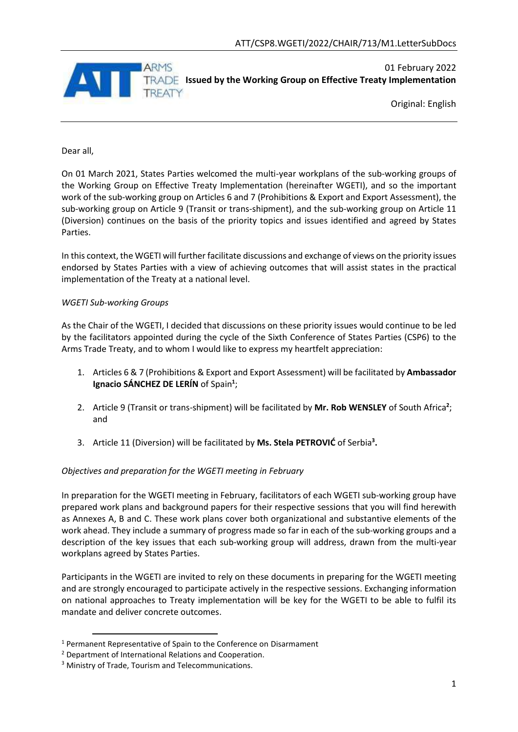

01 February 2022 **IRADE** Issued by the Working Group on Effective Treaty Implementation

Original: English

Dear all,

On 01 March 2021, States Parties welcomed the multi-year workplans of the sub-working groups of the Working Group on Effective Treaty Implementation (hereinafter WGETI), and so the important work of the sub-working group on Articles 6 and 7 (Prohibitions & Export and Export Assessment), the sub-working group on Article 9 (Transit or trans-shipment), and the sub-working group on Article 11 (Diversion) continues on the basis of the priority topics and issues identified and agreed by States Parties.

In this context, the WGETI will further facilitate discussions and exchange of views on the priority issues endorsed by States Parties with a view of achieving outcomes that will assist states in the practical implementation of the Treaty at a national level.

## *WGETI Sub-working Groups*

As the Chair of the WGETI, I decided that discussions on these priority issues would continue to be led by the facilitators appointed during the cycle of the Sixth Conference of States Parties (CSP6) to the Arms Trade Treaty, and to whom I would like to express my heartfelt appreciation:

- 1. Articles 6 & 7 (Prohibitions & Export and Export Assessment) will be facilitated by **Ambassador Ignacio SÁNCHEZ DE LERÍN** of Spain**<sup>1</sup>** ;
- 2. Article 9 (Transit or trans-shipment) will be facilitated by **Mr. Rob WENSLEY** of South Africa**<sup>2</sup>** ; and
- 3. Article 11 (Diversion) will be facilitated by **Ms. Stela PETROVIĆ** of Serbia**<sup>3</sup> .**

## *Objectives and preparation for the WGETI meeting in February*

In preparation for the WGETI meeting in February, facilitators of each WGETI sub-working group have prepared work plans and background papers for their respective sessions that you will find herewith as Annexes A, B and C. These work plans cover both organizational and substantive elements of the work ahead. They include a summary of progress made so far in each of the sub-working groups and a description of the key issues that each sub-working group will address, drawn from the multi-year workplans agreed by States Parties.

Participants in the WGETI are invited to rely on these documents in preparing for the WGETI meeting and are strongly encouraged to participate actively in the respective sessions. Exchanging information on national approaches to Treaty implementation will be key for the WGETI to be able to fulfil its mandate and deliver concrete outcomes.

 $\overline{\phantom{a}}$ 

<sup>1</sup> Permanent Representative of Spain to the Conference on Disarmament

<sup>2</sup> Department of International Relations and Cooperation.

<sup>3</sup> Ministry of Trade, Tourism and Telecommunications.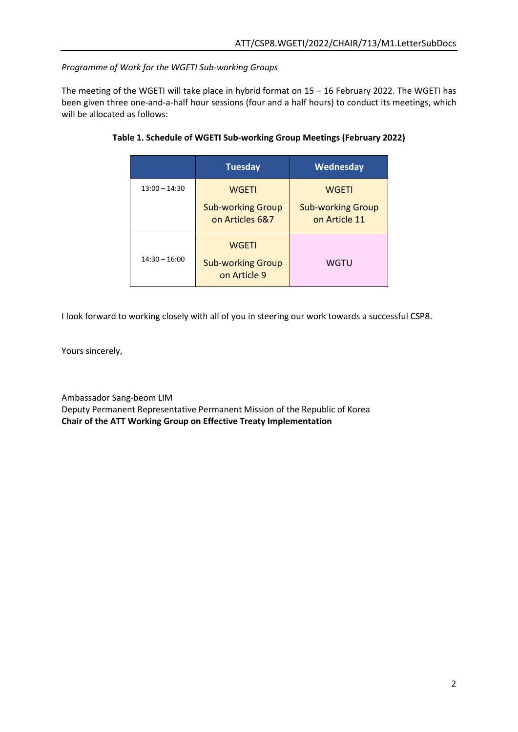## *Programme of Work for the WGETI Sub-working Groups*

The meeting of the WGETI will take place in hybrid format on 15 – 16 February 2022. The WGETI has been given three one-and-a-half hour sessions (four and a half hours) to conduct its meetings, which will be allocated as follows:

|                 | <b>Tuesday</b>                                              | Wednesday                                                 |
|-----------------|-------------------------------------------------------------|-----------------------------------------------------------|
| $13:00 - 14:30$ | <b>WGETI</b><br><b>Sub-working Group</b><br>on Articles 6&7 | <b>WGETI</b><br><b>Sub-working Group</b><br>on Article 11 |
| $14:30 - 16:00$ | <b>WGETI</b><br><b>Sub-working Group</b><br>on Article 9    | WGTU                                                      |

## **Table 1. Schedule of WGETI Sub-working Group Meetings (February 2022)**

I look forward to working closely with all of you in steering our work towards a successful CSP8.

Yours sincerely,

Ambassador Sang-beom LIM

Deputy Permanent Representative Permanent Mission of the Republic of Korea **Chair of the ATT Working Group on Effective Treaty Implementation**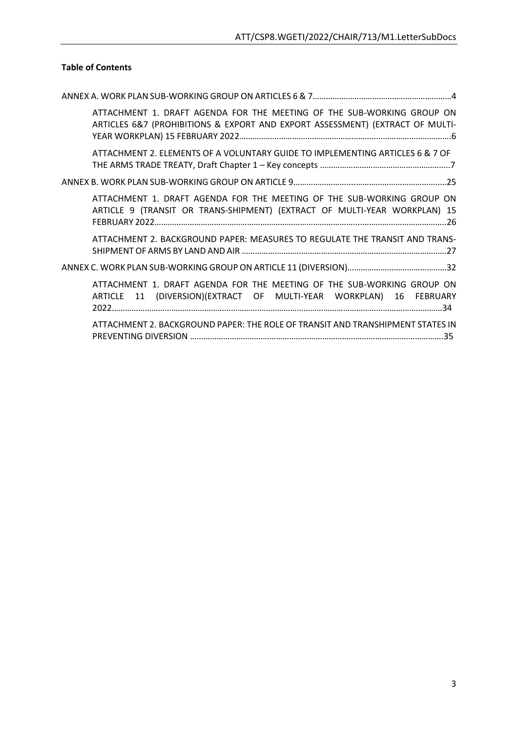# **Table of Contents**

| ATTACHMENT 1. DRAFT AGENDA FOR THE MEETING OF THE SUB-WORKING GROUP ON<br>ARTICLES 6&7 (PROHIBITIONS & EXPORT AND EXPORT ASSESSMENT) (EXTRACT OF MULTI- |
|---------------------------------------------------------------------------------------------------------------------------------------------------------|
| ATTACHMENT 2. ELEMENTS OF A VOLUNTARY GUIDE TO IMPLEMENTING ARTICLES 6 & 7 OF                                                                           |
|                                                                                                                                                         |
| ATTACHMENT 1. DRAFT AGENDA FOR THE MEETING OF THE SUB-WORKING GROUP ON<br>ARTICLE 9 (TRANSIT OR TRANS-SHIPMENT) (EXTRACT OF MULTI-YEAR WORKPLAN) 15     |
| ATTACHMENT 2. BACKGROUND PAPER: MEASURES TO REGULATE THE TRANSIT AND TRANS-                                                                             |
|                                                                                                                                                         |
| ATTACHMENT 1. DRAFT AGENDA FOR THE MEETING OF THE SUB-WORKING GROUP ON<br>ARTICLE 11 (DIVERSION)(EXTRACT OF MULTI-YEAR WORKPLAN) 16 FEBRUARY            |
| ATTACHMENT 2. BACKGROUND PAPER: THE ROLE OF TRANSIT AND TRANSHIPMENT STATES IN                                                                          |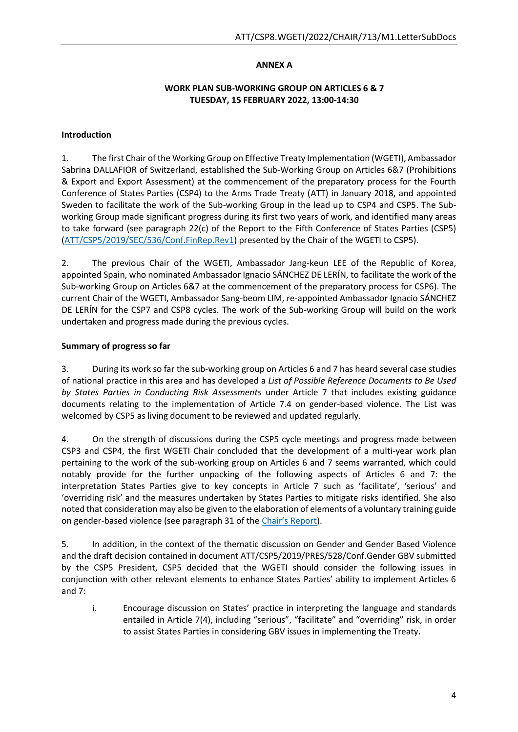## **ANNEX A**

#### **WORK PLAN SUB-WORKING GROUP ON ARTICLES 6 & 7 TUESDAY, 15 FEBRUARY 2022, 13:00-14:30**

## **Introduction**

1. The first Chair of the Working Group on Effective Treaty Implementation (WGETI), Ambassador Sabrina DALLAFIOR of Switzerland, established the Sub-Working Group on Articles 6&7 (Prohibitions & Export and Export Assessment) at the commencement of the preparatory process for the Fourth Conference of States Parties (CSP4) to the Arms Trade Treaty (ATT) in January 2018, and appointed Sweden to facilitate the work of the Sub-working Group in the lead up to CSP4 and CSP5. The Subworking Group made significant progress during its first two years of work, and identified many areas to take forward (see paragraph 22(c) of the Report to the Fifth Conference of States Parties (CSP5) [\(ATT/CSP5/2019/SEC/536/Conf.FinRep.Rev1\)](https://www.thearmstradetreaty.org/hyper-images/file/CSP5%20Final%20Report%20(ATT.CSP5.2019.SEC.536.Con.FinRep.Rev1)%20-%2030%20August%202019%20(final)/CSP5%20Final%20Report%20(ATT.CSP5.2019.SEC.536.Con.FinRep.Rev1)%20-%2030%20August%202019%20(final).pdf) presented by the Chair of the WGETI to CSP5).

2. The previous Chair of the WGETI, Ambassador Jang-keun LEE of the Republic of Korea, appointed Spain, who nominated Ambassador Ignacio SÁNCHEZ DE LERÍN, to facilitate the work of the Sub-working Group on Articles 6&7 at the commencement of the preparatory process for CSP6). The current Chair of the WGETI, Ambassador Sang-beom LIM, re-appointed Ambassador Ignacio SÁNCHEZ DE LERÍN for the CSP7 and CSP8 cycles. The work of the Sub-working Group will build on the work undertaken and progress made during the previous cycles.

## **Summary of progress so far**

3. During its work so far the sub-working group on Articles 6 and 7 has heard several case studies of national practice in this area and has developed a *List of Possible Reference Documents to Be Used by States Parties in Conducting Risk Assessments* under Article 7 that includes existing guidance documents relating to the implementation of Article 7.4 on gender-based violence. The List was welcomed by CSP5 as living document to be reviewed and updated regularly.

4. On the strength of discussions during the CSP5 cycle meetings and progress made between CSP3 and CSP4, the first WGETI Chair concluded that the development of a multi-year work plan pertaining to the work of the sub-working group on Articles 6 and 7 seems warranted, which could notably provide for the further unpacking of the following aspects of Articles 6 and 7: the interpretation States Parties give to key concepts in Article 7 such as 'facilitate', 'serious' and 'overriding risk' and the measures undertaken by States Parties to mitigate risks identified. She also noted that consideration may also be given to the elaboration of elements of a voluntary training guide on gender-based violence (see paragraph 31 of the [Chair's Report](https://www.thearmstradetreaty.org/hyper-images/file/ATT_CSP5_WGETI%20Draft%20Report_EN/ATT_CSP5_WGETI%20Draft%20Report_EN.pdf)).

5. In addition, in the context of the thematic discussion on Gender and Gender Based Violence and the draft decision contained in document ATT/CSP5/2019/PRES/528/Conf.Gender GBV submitted by the CSP5 President, CSP5 decided that the WGETI should consider the following issues in conjunction with other relevant elements to enhance States Parties' ability to implement Articles 6 and 7:

i. Encourage discussion on States' practice in interpreting the language and standards entailed in Article 7(4), including "serious", "facilitate" and "overriding" risk, in order to assist States Parties in considering GBV issues in implementing the Treaty.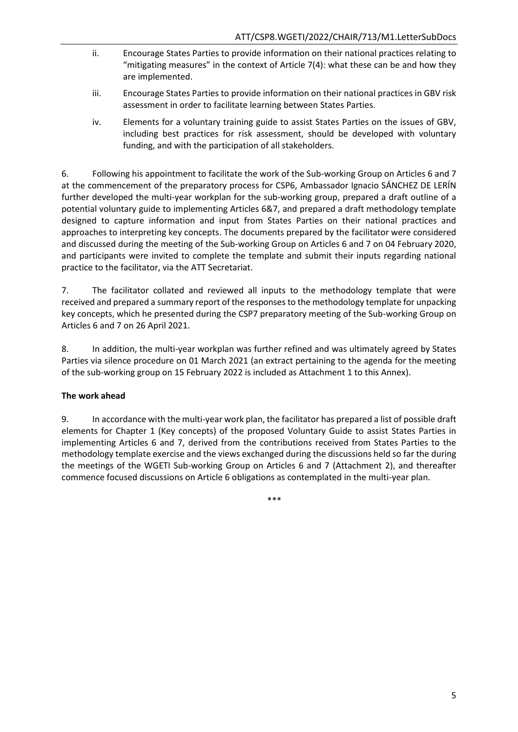- ii. Encourage States Parties to provide information on their national practices relating to "mitigating measures" in the context of Article  $7(4)$ : what these can be and how they are implemented.
- iii. Encourage States Parties to provide information on their national practices in GBV risk assessment in order to facilitate learning between States Parties.
- iv. Elements for a voluntary training guide to assist States Parties on the issues of GBV, including best practices for risk assessment, should be developed with voluntary funding, and with the participation of all stakeholders.

6. Following his appointment to facilitate the work of the Sub-working Group on Articles 6 and 7 at the commencement of the preparatory process for CSP6, Ambassador Ignacio SÁNCHEZ DE LERÍN further developed the multi-year workplan for the sub-working group, prepared a draft outline of a potential voluntary guide to implementing Articles 6&7, and prepared a draft methodology template designed to capture information and input from States Parties on their national practices and approaches to interpreting key concepts. The documents prepared by the facilitator were considered and discussed during the meeting of the Sub-working Group on Articles 6 and 7 on 04 February 2020, and participants were invited to complete the template and submit their inputs regarding national practice to the facilitator, via the ATT Secretariat.

7. The facilitator collated and reviewed all inputs to the methodology template that were received and prepared a summary report of the responses to the methodology template for unpacking key concepts, which he presented during the CSP7 preparatory meeting of the Sub-working Group on Articles 6 and 7 on 26 April 2021.

8. In addition, the multi-year workplan was further refined and was ultimately agreed by States Parties via silence procedure on 01 March 2021 (an extract pertaining to the agenda for the meeting of the sub-working group on 15 February 2022 is included as Attachment 1 to this Annex).

# **The work ahead**

9. In accordance with the multi-year work plan, the facilitator has prepared a list of possible draft elements for Chapter 1 (Key concepts) of the proposed Voluntary Guide to assist States Parties in implementing Articles 6 and 7, derived from the contributions received from States Parties to the methodology template exercise and the views exchanged during the discussions held so far the during the meetings of the WGETI Sub-working Group on Articles 6 and 7 (Attachment 2), and thereafter commence focused discussions on Article 6 obligations as contemplated in the multi-year plan.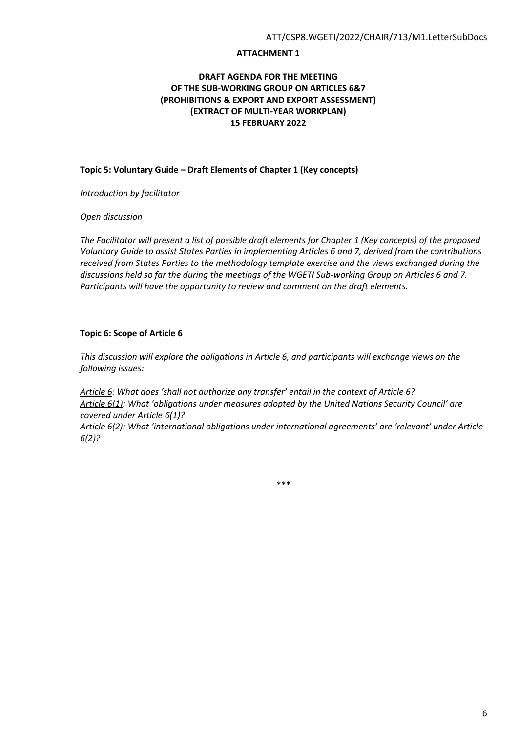## **ATTACHMENT 1**

## **DRAFT AGENDA FOR THE MEETING OF THE SUB-WORKING GROUP ON ARTICLES 6&7 (PROHIBITIONS & EXPORT AND EXPORT ASSESSMENT) (EXTRACT OF MULTI-YEAR WORKPLAN) 15 FEBRUARY 2022**

## **Topic 5: Voluntary Guide – Draft Elements of Chapter 1 (Key concepts)**

*Introduction by facilitator*

*Open discussion*

*The Facilitator will present a list of possible draft elements for Chapter 1 (Key concepts) of the proposed Voluntary Guide to assist States Parties in implementing Articles 6 and 7, derived from the contributions received from States Parties to the methodology template exercise and the views exchanged during the discussions held so far the during the meetings of the WGETI Sub-working Group on Articles 6 and 7. Participants will have the opportunity to review and comment on the draft elements.*

## **Topic 6: Scope of Article 6**

*This discussion will explore the obligations in Article 6, and participants will exchange views on the following issues:*

*Article 6: What does 'shall not authorize any transfer' entail in the context of Article 6? Article 6(1): What 'obligations under measures adopted by the United Nations Security Council' are covered under Article 6(1)?*

*Article 6(2): What 'international obligations under international agreements' are 'relevant' under Article 6(2)?*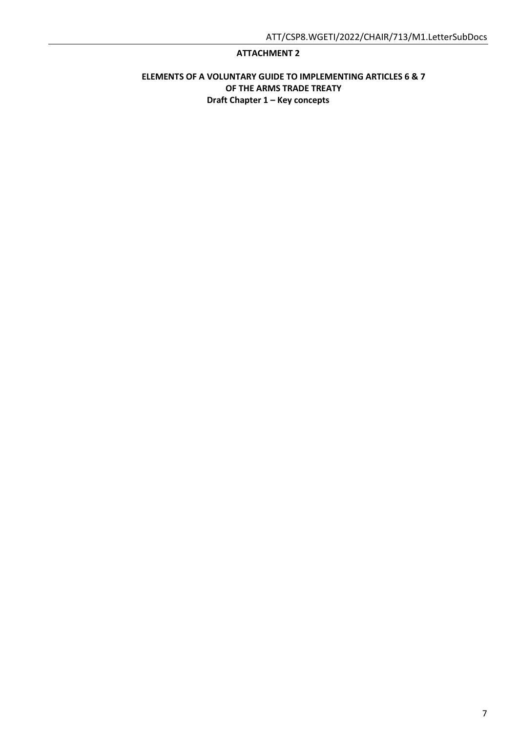# **ATTACHMENT 2**

**ELEMENTS OF A VOLUNTARY GUIDE TO IMPLEMENTING ARTICLES 6 & 7 OF THE ARMS TRADE TREATY Draft Chapter 1 – Key concepts**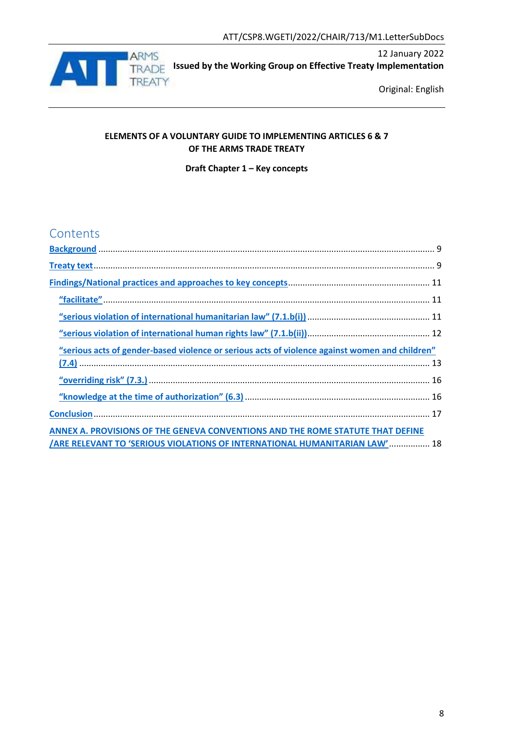

Original: English

# **ELEMENTS OF A VOLUNTARY GUIDE TO IMPLEMENTING ARTICLES 6 & 7 OF THE ARMS TRADE TREATY**

**Draft Chapter 1 – Key concepts**

# **Contents**

| "serious acts of gender-based violence or serious acts of violence against women and children" |  |
|------------------------------------------------------------------------------------------------|--|
|                                                                                                |  |
|                                                                                                |  |
|                                                                                                |  |
|                                                                                                |  |
| ANNEX A. PROVISIONS OF THE GENEVA CONVENTIONS AND THE ROME STATUTE THAT DEFINE                 |  |
| /ARE RELEVANT TO 'SERIOUS VIOLATIONS OF INTERNATIONAL HUMANITARIAN LAW' 18                     |  |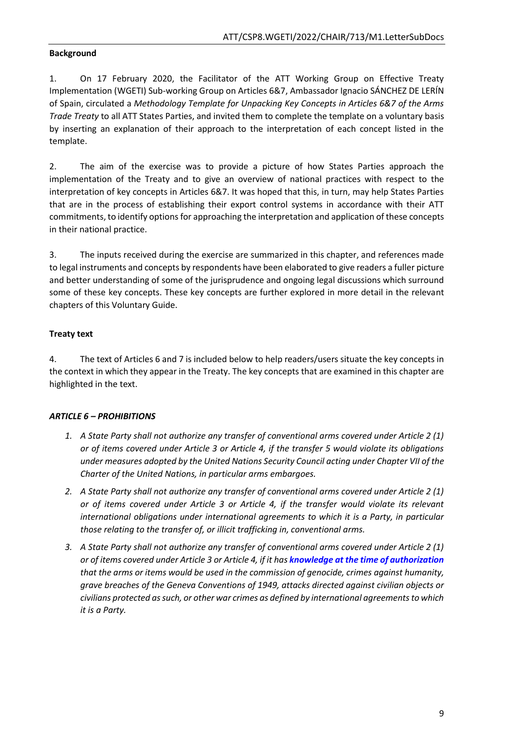## <span id="page-8-0"></span>**Background**

1. On 17 February 2020, the Facilitator of the ATT Working Group on Effective Treaty Implementation (WGETI) Sub-working Group on Articles 6&7, Ambassador Ignacio SÁNCHEZ DE LERÍN of Spain, circulated a *Methodology Template for Unpacking Key Concepts in Articles 6&7 of the Arms Trade Treaty* to all ATT States Parties, and invited them to complete the template on a voluntary basis by inserting an explanation of their approach to the interpretation of each concept listed in the template.

2. The aim of the exercise was to provide a picture of how States Parties approach the implementation of the Treaty and to give an overview of national practices with respect to the interpretation of key concepts in Articles 6&7. It was hoped that this, in turn, may help States Parties that are in the process of establishing their export control systems in accordance with their ATT commitments, to identify options for approaching the interpretation and application of these concepts in their national practice.

3. The inputs received during the exercise are summarized in this chapter, and references made to legal instruments and concepts by respondents have been elaborated to give readers a fuller picture and better understanding of some of the jurisprudence and ongoing legal discussions which surround some of these key concepts. These key concepts are further explored in more detail in the relevant chapters of this Voluntary Guide.

## <span id="page-8-1"></span>**Treaty text**

4. The text of Articles 6 and 7 is included below to help readers/users situate the key concepts in the context in which they appear in the Treaty. The key concepts that are examined in this chapter are highlighted in the text.

## *ARTICLE 6 – PROHIBITIONS*

- *1. A State Party shall not authorize any transfer of conventional arms covered under Article 2 (1) or of items covered under Article 3 or Article 4, if the transfer 5 would violate its obligations under measures adopted by the United Nations Security Council acting under Chapter VII of the Charter of the United Nations, in particular arms embargoes.*
- *2. A State Party shall not authorize any transfer of conventional arms covered under Article 2 (1) or of items covered under Article 3 or Article 4, if the transfer would violate its relevant international obligations under international agreements to which it is a Party, in particular those relating to the transfer of, or illicit trafficking in, conventional arms.*
- *3. A State Party shall not authorize any transfer of conventional arms covered under Article 2 (1) or of items covered under Article 3 or Article 4, if it has knowledge at the time of authorization that the arms or items would be used in the commission of genocide, crimes against humanity, grave breaches of the Geneva Conventions of 1949, attacks directed against civilian objects or civilians protected as such, or other war crimes as defined by international agreements to which it is a Party.*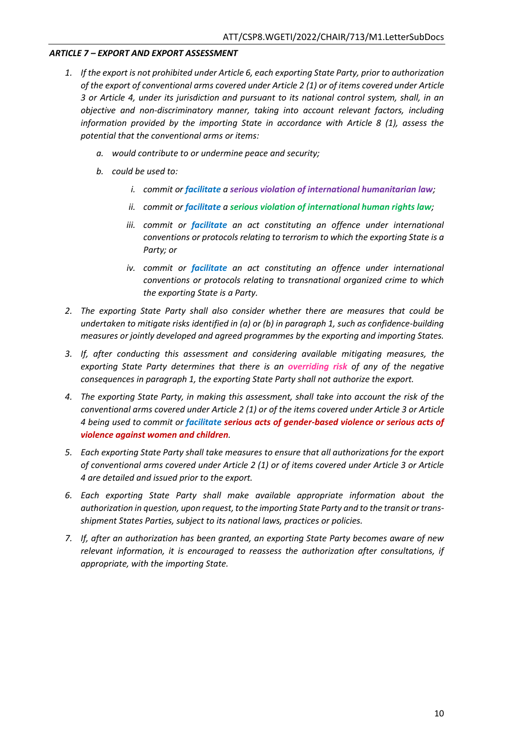#### *ARTICLE 7 – EXPORT AND EXPORT ASSESSMENT*

- *1. If the export is not prohibited under Article 6, each exporting State Party, prior to authorization of the export of conventional arms covered under Article 2 (1) or of items covered under Article 3 or Article 4, under its jurisdiction and pursuant to its national control system, shall, in an objective and non-discriminatory manner, taking into account relevant factors, including information provided by the importing State in accordance with Article 8 (1), assess the potential that the conventional arms or items:*
	- *a. would contribute to or undermine peace and security;*
	- *b. could be used to:*
		- *i. commit or facilitate a serious violation of international humanitarian law;*
		- *ii. commit or <i>facilitate* a serious violation of international human rights law;
		- iii. commit or *facilitate* an act constituting an offence under international *conventions or protocols relating to terrorism to which the exporting State is a Party; or*
		- *iv. commit or facilitate an act constituting an offence under international conventions or protocols relating to transnational organized crime to which the exporting State is a Party.*
- *2. The exporting State Party shall also consider whether there are measures that could be undertaken to mitigate risks identified in (a) or (b) in paragraph 1, such as confidence-building measures or jointly developed and agreed programmes by the exporting and importing States.*
- *3. If, after conducting this assessment and considering available mitigating measures, the exporting State Party determines that there is an overriding risk of any of the negative consequences in paragraph 1, the exporting State Party shall not authorize the export.*
- *4. The exporting State Party, in making this assessment, shall take into account the risk of the conventional arms covered under Article 2 (1) or of the items covered under Article 3 or Article 4 being used to commit or facilitate serious acts of gender-based violence or serious acts of violence against women and children.*
- *5. Each exporting State Party shall take measures to ensure that all authorizations for the export of conventional arms covered under Article 2 (1) or of items covered under Article 3 or Article 4 are detailed and issued prior to the export.*
- *6. Each exporting State Party shall make available appropriate information about the authorization in question, upon request, to the importing State Party and to the transit or transshipment States Parties, subject to its national laws, practices or policies.*
- *7. If, after an authorization has been granted, an exporting State Party becomes aware of new relevant information, it is encouraged to reassess the authorization after consultations, if appropriate, with the importing State.*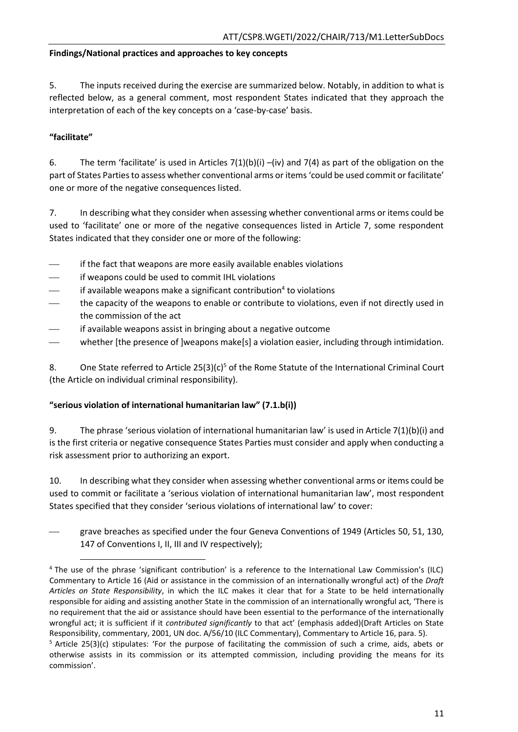#### <span id="page-10-0"></span>**Findings/National practices and approaches to key concepts**

5. The inputs received during the exercise are summarized below. Notably, in addition to what is reflected below, as a general comment, most respondent States indicated that they approach the interpretation of each of the key concepts on a 'case-by-case' basis.

## <span id="page-10-1"></span>**"facilitate"**

 $\overline{a}$ 

6. The term 'facilitate' is used in Articles  $7(1)(b)(i) - (iv)$  and  $7(4)$  as part of the obligation on the part of States Parties to assess whether conventional arms or items 'could be used commit or facilitate' one or more of the negative consequences listed.

7. In describing what they consider when assessing whether conventional arms or items could be used to 'facilitate' one or more of the negative consequences listed in Article 7, some respondent States indicated that they consider one or more of the following:

- if the fact that weapons are more easily available enables violations
- if weapons could be used to commit IHL violations
- $\rule{1em}{0.15mm}$  if available weapons make a significant contribution<sup>4</sup> to violations
- the capacity of the weapons to enable or contribute to violations, even if not directly used in the commission of the act
- if available weapons assist in bringing about a negative outcome
- whether [the presence of ]weapons make[s] a violation easier, including through intimidation.

8. One State referred to Article  $25(3)(c)^5$  of the Rome Statute of the International Criminal Court (the Article on individual criminal responsibility).

## <span id="page-10-2"></span>**"serious violation of international humanitarian law" (7.1.b(i))**

9. The phrase 'serious violation of international humanitarian law' is used in Article 7(1)(b)(i) and is the first criteria or negative consequence States Parties must consider and apply when conducting a risk assessment prior to authorizing an export.

10. In describing what they consider when assessing whether conventional arms or items could be used to commit or facilitate a 'serious violation of international humanitarian law', most respondent States specified that they consider 'serious violations of international law' to cover:

 grave breaches as specified under the four Geneva Conventions of 1949 (Articles 50, 51, 130, 147 of Conventions I, II, III and IV respectively);

<sup>4</sup> The use of the phrase 'significant contribution' is a reference to the International Law Commission's (ILC) Commentary to Article 16 (Aid or assistance in the commission of an internationally wrongful act) of the *Draft Articles on State Responsibility*, in which the ILC makes it clear that for a State to be held internationally responsible for aiding and assisting another State in the commission of an internationally wrongful act, 'There is no requirement that the aid or assistance should have been essential to the performance of the internationally wrongful act; it is sufficient if it *contributed significantly* to that act' (emphasis added)(Draft Articles on State Responsibility, commentary, 2001, UN doc. A/56/10 (ILC Commentary), Commentary to Article 16, para. 5).

<sup>5</sup> Article 25(3)(c) stipulates: 'For the purpose of facilitating the commission of such a crime, aids, abets or otherwise assists in its commission or its attempted commission, including providing the means for its commission'.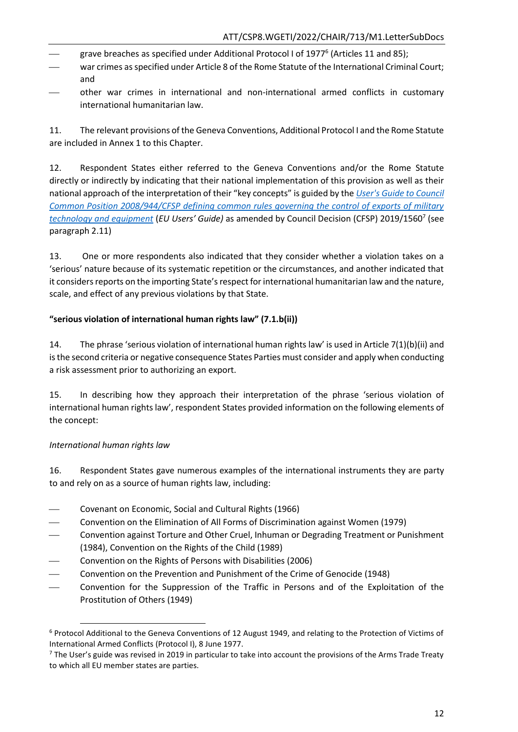- $\hspace{1cm}$  grave breaches as specified under Additional Protocol I of 1977<sup>6</sup> (Articles 11 and 85);
- war crimes as specified under Article 8 of the Rome Statute of the International Criminal Court; and
- other war crimes in international and non-international armed conflicts in customary international humanitarian law.

11. The relevant provisions of the Geneva Conventions, Additional Protocol I and the Rome Statute are included in Annex 1 to this Chapter.

12. Respondent States either referred to the Geneva Conventions and/or the Rome Statute directly or indirectly by indicating that their national implementation of this provision as well as their national approach of the interpretation of their "key concepts" is guided by the *[User's Guide to Council](https://www.consilium.europa.eu/media/40659/st12189-en19.pdf)  [Common Position 2008/944/CFSP defining common rules governing the control of exports of military](https://www.consilium.europa.eu/media/40659/st12189-en19.pdf)  [technology and equipment](https://www.consilium.europa.eu/media/40659/st12189-en19.pdf)* (*EU Users' Guide)* as amended by Council Decision (CFSP) 2019/1560<sup>7</sup> (see paragraph 2.11)

13. One or more respondents also indicated that they consider whether a violation takes on a 'serious' nature because of its systematic repetition or the circumstances, and another indicated that it considers reports on the importing State's respect for international humanitarian law and the nature, scale, and effect of any previous violations by that State.

## <span id="page-11-0"></span>**"serious violation of international human rights law" (7.1.b(ii))**

14. The phrase 'serious violation of international human rights law' is used in Article 7(1)(b)(ii) and is the second criteria or negative consequence States Parties must consider and apply when conducting a risk assessment prior to authorizing an export.

15. In describing how they approach their interpretation of the phrase 'serious violation of international human rights law', respondent States provided information on the following elements of the concept:

## *International human rights law*

 $\overline{a}$ 

16. Respondent States gave numerous examples of the international instruments they are party to and rely on as a source of human rights law, including:

- Covenant on Economic, Social and Cultural Rights (1966)
- Convention on the Elimination of All Forms of Discrimination against Women (1979)
- Convention against Torture and Other Cruel, Inhuman or Degrading Treatment or Punishment (1984), Convention on the Rights of the Child (1989)
- Convention on the Rights of Persons with Disabilities (2006)
- Convention on the Prevention and Punishment of the Crime of Genocide (1948)
- Convention for the Suppression of the Traffic in Persons and of the Exploitation of the Prostitution of Others (1949)

<sup>6</sup> Protocol Additional to the Geneva Conventions of 12 August 1949, and relating to the Protection of Victims of International Armed Conflicts (Protocol I), 8 June 1977.

 $7$  The User's guide was revised in 2019 in particular to take into account the provisions of the Arms Trade Treaty to which all EU member states are parties.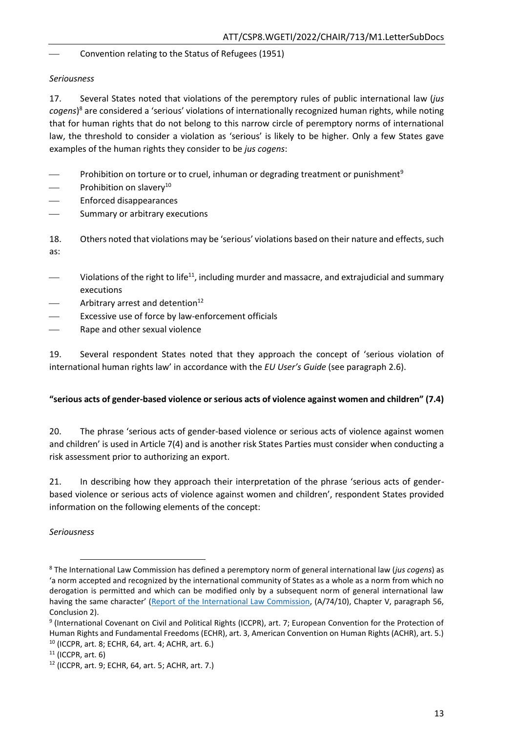Convention relating to the Status of Refugees (1951)

## *Seriousness*

17. Several States noted that violations of the peremptory rules of public international law (*jus cogens*) <sup>8</sup> are considered a 'serious' violations of internationally recognized human rights, while noting that for human rights that do not belong to this narrow circle of peremptory norms of international law, the threshold to consider a violation as 'serious' is likely to be higher. Only a few States gave examples of the human rights they consider to be *jus cogens*:

- Prohibition on torture or to cruel, inhuman or degrading treatment or punishment<sup>9</sup>
- Prohibition on slavery<sup>10</sup>
- Enforced disappearances
- Summary or arbitrary executions
- 18. Others noted that violations may be 'serious' violations based on their nature and effects, such as:
- Violations of the right to life<sup>11</sup>, including murder and massacre, and extrajudicial and summary executions
- Arbitrary arrest and detention $12$
- Excessive use of force by law-enforcement officials
- Rape and other sexual violence

19. Several respondent States noted that they approach the concept of 'serious violation of international human rights law' in accordance with the *EU User's Guide* (see paragraph 2.6).

## <span id="page-12-0"></span>**"serious acts of gender-based violence or serious acts of violence against women and children" (7.4)**

20. The phrase 'serious acts of gender-based violence or serious acts of violence against women and children' is used in Article 7(4) and is another risk States Parties must consider when conducting a risk assessment prior to authorizing an export.

21. In describing how they approach their interpretation of the phrase 'serious acts of genderbased violence or serious acts of violence against women and children', respondent States provided information on the following elements of the concept:

## *Seriousness*

 $\overline{a}$ 

<sup>8</sup> The International Law Commission has defined a peremptory norm of general international law (*jus cogens*) as 'a norm accepted and recognized by the international community of States as a whole as a norm from which no derogation is permitted and which can be modified only by a subsequent norm of general international law having the same character' ([Report of the International Law Commission,](https://legal.un.org/ilc/reports/2019/english/chp5.pdf) (A/74/10), Chapter V, paragraph 56, Conclusion 2).

<sup>&</sup>lt;sup>9</sup> (International Covenant on Civil and Political Rights (ICCPR), art. 7; European Convention for the Protection of Human Rights and Fundamental Freedoms (ECHR), art. 3, American Convention on Human Rights (ACHR), art. 5.) <sup>10</sup> (ICCPR, art. 8; ECHR, 64, art. 4; ACHR, art. 6.)

 $11$  (ICCPR, art. 6)

<sup>12</sup> (ICCPR, art. 9; ECHR, 64, art. 5; ACHR, art. 7.)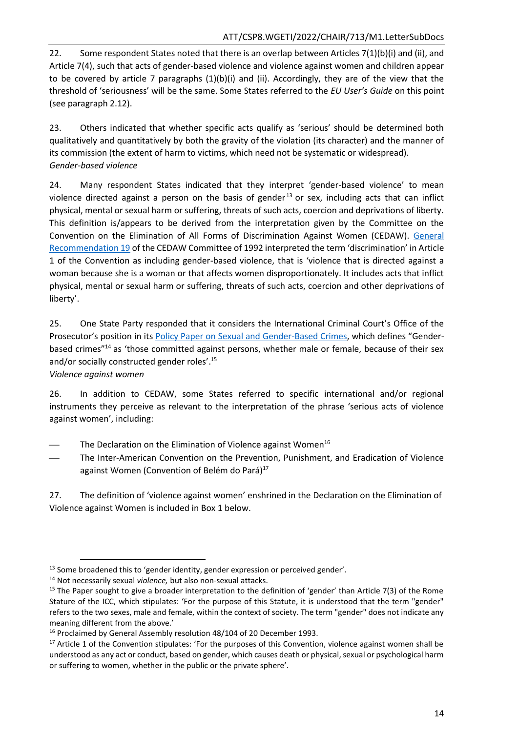22. Some respondent States noted that there is an overlap between Articles 7(1)(b)(i) and (ii), and Article 7(4), such that acts of gender-based violence and violence against women and children appear to be covered by article 7 paragraphs  $(1)(b)(i)$  and (ii). Accordingly, they are of the view that the threshold of 'seriousness' will be the same. Some States referred to the *EU User's Guide* on this point (see paragraph 2.12).

23. Others indicated that whether specific acts qualify as 'serious' should be determined both qualitatively and quantitatively by both the gravity of the violation (its character) and the manner of its commission (the extent of harm to victims, which need not be systematic or widespread). *Gender-based violence*

24. Many respondent States indicated that they interpret 'gender-based violence' to mean violence directed against a person on the basis of gender<sup>13</sup> or sex, including acts that can inflict physical, mental or sexual harm or suffering, threats of such acts, coercion and deprivations of liberty. This definition is/appears to be derived from the interpretation given by the Committee on the Convention on the Elimination of All Forms of Discrimination Against Women (CEDAW). [General](https://tbinternet.ohchr.org/Treaties/CEDAW/Shared%20Documents/1_Global/INT_CEDAW_GEC_3731_E.pdf)  [Recommendation 19](https://tbinternet.ohchr.org/Treaties/CEDAW/Shared%20Documents/1_Global/INT_CEDAW_GEC_3731_E.pdf) of the CEDAW Committee of 1992 interpreted the term 'discrimination' in Article 1 of the Convention as including gender-based violence, that is 'violence that is directed against a woman because she is a woman or that affects women disproportionately. It includes acts that inflict physical, mental or sexual harm or suffering, threats of such acts, coercion and other deprivations of liberty'.

25. One State Party responded that it considers the International Criminal Court's Office of the Prosecutor's position in its [Policy Paper on Sexual and Gender-Based Crimes](https://www.icc-cpi.int/iccdocs/otp/policy_paper_on_sexual_and_gender-based_crimes-20_june_2014-eng.pdf), which defines "Genderbased crimes"<sup>14</sup> as 'those committed against persons, whether male or female, because of their sex and/or socially constructed gender roles'. 15

## *Violence against women*

 $\overline{a}$ 

26. In addition to CEDAW, some States referred to specific international and/or regional instruments they perceive as relevant to the interpretation of the phrase 'serious acts of violence against women', including:

The Declaration on the Elimination of Violence against Women<sup>16</sup>

 The Inter-American Convention on the Prevention, Punishment, and Eradication of Violence against Women (Convention of Belém do Pará)<sup>17</sup>

27. The definition of 'violence against women' enshrined in the Declaration on the Elimination of Violence against Women is included in Box 1 below.

<sup>&</sup>lt;sup>13</sup> Some broadened this to 'gender identity, gender expression or perceived gender'.

<sup>14</sup> Not necessarily sexual *violence,* but also non-sexual attacks.

<sup>&</sup>lt;sup>15</sup> The Paper sought to give a broader interpretation to the definition of 'gender' than Article 7(3) of the Rome Stature of the ICC, which stipulates: 'For the purpose of this Statute, it is understood that the term "gender" refers to the two sexes, male and female, within the context of society. The term "gender" does not indicate any meaning different from the above.'

<sup>&</sup>lt;sup>16</sup> Proclaimed by General Assembly resolution 48/104 of 20 December 1993.

 $17$  Article 1 of the Convention stipulates: 'For the purposes of this Convention, violence against women shall be understood as any act or conduct, based on gender, which causes death or physical, sexual or psychological harm or suffering to women, whether in the public or the private sphere'.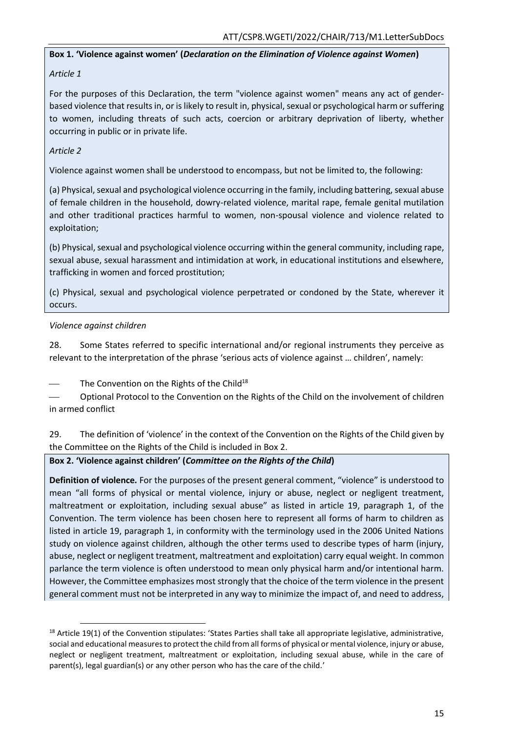## **Box 1. 'Violence against women' (***Declaration on the Elimination of Violence against Women***)**

## *Article 1*

For the purposes of this Declaration, the term "violence against women" means any act of genderbased violence that results in, or is likely to result in, physical, sexual or psychological harm or suffering to women, including threats of such acts, coercion or arbitrary deprivation of liberty, whether occurring in public or in private life.

## *Article 2*

Violence against women shall be understood to encompass, but not be limited to, the following:

(a) Physical, sexual and psychological violence occurring in the family, including battering, sexual abuse of female children in the household, dowry-related violence, marital rape, female genital mutilation and other traditional practices harmful to women, non-spousal violence and violence related to exploitation;

(b) Physical, sexual and psychological violence occurring within the general community, including rape, sexual abuse, sexual harassment and intimidation at work, in educational institutions and elsewhere, trafficking in women and forced prostitution;

(c) Physical, sexual and psychological violence perpetrated or condoned by the State, wherever it occurs.

## *Violence against children*

 $\overline{a}$ 

28. Some States referred to specific international and/or regional instruments they perceive as relevant to the interpretation of the phrase 'serious acts of violence against … children', namely:

The Convention on the Rights of the Child<sup>18</sup>

 Optional Protocol to the Convention on the Rights of the Child on the involvement of children in armed conflict

29. The definition of 'violence' in the context of the Convention on the Rights of the Child given by the Committee on the Rights of the Child is included in Box 2.

## **Box 2. 'Violence against children' (***Committee on the Rights of the Child***)**

**Definition of violence.** For the purposes of the present general comment, "violence" is understood to mean "all forms of physical or mental violence, injury or abuse, neglect or negligent treatment, maltreatment or exploitation, including sexual abuse" as listed in article 19, paragraph 1, of the Convention. The term violence has been chosen here to represent all forms of harm to children as listed in article 19, paragraph 1, in conformity with the terminology used in the 2006 United Nations study on violence against children, although the other terms used to describe types of harm (injury, abuse, neglect or negligent treatment, maltreatment and exploitation) carry equal weight. In common parlance the term violence is often understood to mean only physical harm and/or intentional harm. However, the Committee emphasizes most strongly that the choice of the term violence in the present general comment must not be interpreted in any way to minimize the impact of, and need to address,

 $18$  Article 19(1) of the Convention stipulates: 'States Parties shall take all appropriate legislative, administrative, social and educational measures to protect the child from all forms of physical or mental violence, injury or abuse, neglect or negligent treatment, maltreatment or exploitation, including sexual abuse, while in the care of parent(s), legal guardian(s) or any other person who has the care of the child.'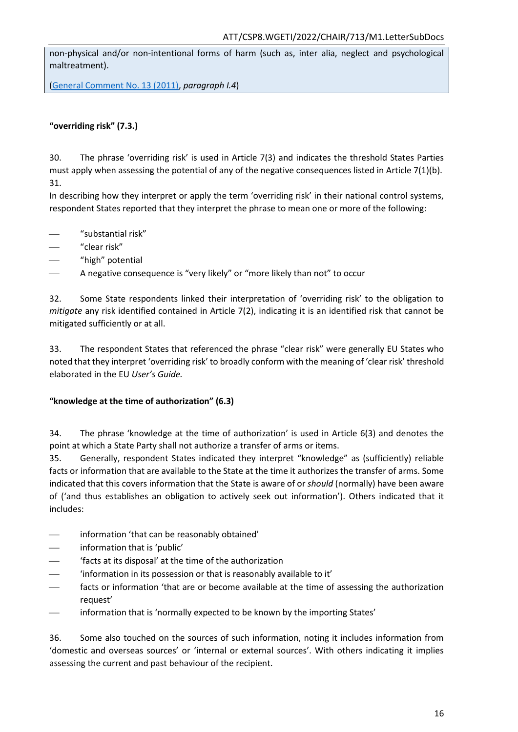non-physical and/or non-intentional forms of harm (such as, inter alia, neglect and psychological maltreatment).

[\(General Comment No. 13 \(2011\),](https://www2.ohchr.org/english/bodies/crc/docs/crc.c.gc.13_en.pdf) *paragraph I.4*)

# <span id="page-15-0"></span>**"overriding risk" (7.3.)**

30. The phrase 'overriding risk' is used in Article 7(3) and indicates the threshold States Parties must apply when assessing the potential of any of the negative consequences listed in Article 7(1)(b). 31.

In describing how they interpret or apply the term 'overriding risk' in their national control systems, respondent States reported that they interpret the phrase to mean one or more of the following:

- "substantial risk"
- "clear risk"
- "high" potential
- A negative consequence is "very likely" or "more likely than not" to occur

32. Some State respondents linked their interpretation of 'overriding risk' to the obligation to *mitigate* any risk identified contained in Article 7(2), indicating it is an identified risk that cannot be mitigated sufficiently or at all.

33. The respondent States that referenced the phrase "clear risk" were generally EU States who noted that they interpret 'overriding risk' to broadly conform with the meaning of 'clear risk' threshold elaborated in the EU *User's Guide.*

#### <span id="page-15-1"></span>**"knowledge at the time of authorization" (6.3)**

34. The phrase 'knowledge at the time of authorization' is used in Article 6(3) and denotes the point at which a State Party shall not authorize a transfer of arms or items.

35. Generally, respondent States indicated they interpret "knowledge" as (sufficiently) reliable facts or information that are available to the State at the time it authorizes the transfer of arms. Some indicated that this covers information that the State is aware of or *should* (normally) have been aware of ('and thus establishes an obligation to actively seek out information'). Others indicated that it includes:

- information 'that can be reasonably obtained'
- information that is 'public'
- 'facts at its disposal' at the time of the authorization
- 'information in its possession or that is reasonably available to it'
- facts or information 'that are or become available at the time of assessing the authorization request'
- information that is 'normally expected to be known by the importing States'

36. Some also touched on the sources of such information, noting it includes information from 'domestic and overseas sources' or 'internal or external sources'. With others indicating it implies assessing the current and past behaviour of the recipient.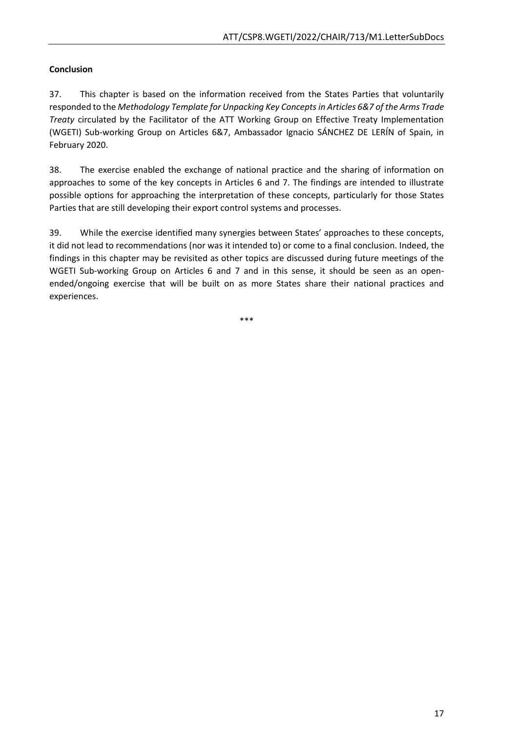## <span id="page-16-0"></span>**Conclusion**

37. This chapter is based on the information received from the States Parties that voluntarily responded to the *Methodology Template for Unpacking Key Concepts in Articles 6&7 of the Arms Trade Treaty* circulated by the Facilitator of the ATT Working Group on Effective Treaty Implementation (WGETI) Sub-working Group on Articles 6&7, Ambassador Ignacio SÁNCHEZ DE LERÍN of Spain, in February 2020.

38. The exercise enabled the exchange of national practice and the sharing of information on approaches to some of the key concepts in Articles 6 and 7. The findings are intended to illustrate possible options for approaching the interpretation of these concepts, particularly for those States Parties that are still developing their export control systems and processes.

39. While the exercise identified many synergies between States' approaches to these concepts, it did not lead to recommendations (nor was it intended to) or come to a final conclusion. Indeed, the findings in this chapter may be revisited as other topics are discussed during future meetings of the WGETI Sub-working Group on Articles 6 and 7 and in this sense, it should be seen as an openended/ongoing exercise that will be built on as more States share their national practices and experiences.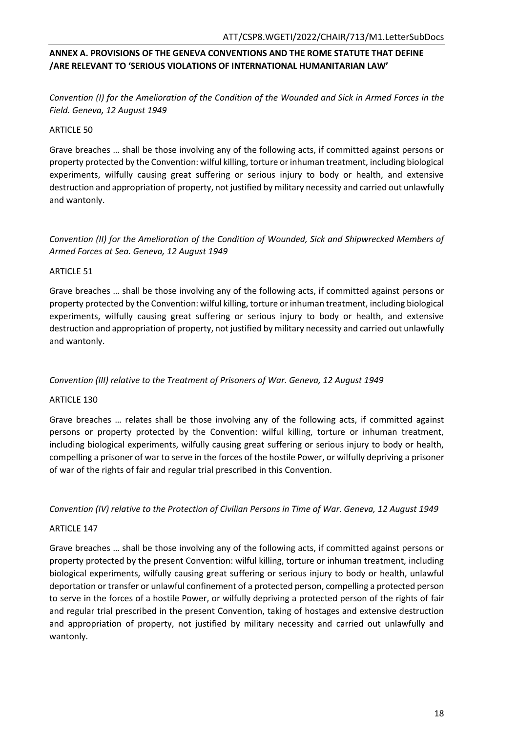# <span id="page-17-0"></span>**ANNEX A. PROVISIONS OF THE GENEVA CONVENTIONS AND THE ROME STATUTE THAT DEFINE /ARE RELEVANT TO 'SERIOUS VIOLATIONS OF INTERNATIONAL HUMANITARIAN LAW'**

*Convention (I) for the Amelioration of the Condition of the Wounded and Sick in Armed Forces in the Field. Geneva, 12 August 1949*

#### ARTICLE 50

Grave breaches … shall be those involving any of the following acts, if committed against persons or property protected by the Convention: wilful killing, torture or inhuman treatment, including biological experiments, wilfully causing great suffering or serious injury to body or health, and extensive destruction and appropriation of property, not justified by military necessity and carried out unlawfully and wantonly.

# *Convention (II) for the Amelioration of the Condition of Wounded, Sick and Shipwrecked Members of Armed Forces at Sea. Geneva, 12 August 1949*

#### ARTICLE 51

Grave breaches … shall be those involving any of the following acts, if committed against persons or property protected by the Convention: wilful killing, torture or inhuman treatment, including biological experiments, wilfully causing great suffering or serious injury to body or health, and extensive destruction and appropriation of property, not justified by military necessity and carried out unlawfully and wantonly.

#### *Convention (III) relative to the Treatment of Prisoners of War. Geneva, 12 August 1949*

#### ARTICLE 130

Grave breaches … relates shall be those involving any of the following acts, if committed against persons or property protected by the Convention: wilful killing, torture or inhuman treatment, including biological experiments, wilfully causing great suffering or serious injury to body or health, compelling a prisoner of war to serve in the forces of the hostile Power, or wilfully depriving a prisoner of war of the rights of fair and regular trial prescribed in this Convention.

*Convention (IV) relative to the Protection of Civilian Persons in Time of War. Geneva, 12 August 1949*

## ARTICLE 147

Grave breaches … shall be those involving any of the following acts, if committed against persons or property protected by the present Convention: wilful killing, torture or inhuman treatment, including biological experiments, wilfully causing great suffering or serious injury to body or health, unlawful deportation or transfer or unlawful confinement of a protected person, compelling a protected person to serve in the forces of a hostile Power, or wilfully depriving a protected person of the rights of fair and regular trial prescribed in the present Convention, taking of hostages and extensive destruction and appropriation of property, not justified by military necessity and carried out unlawfully and wantonly.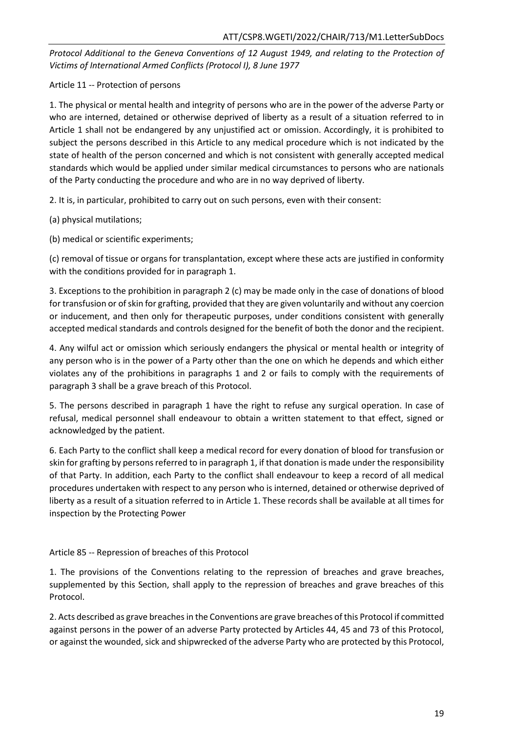*Protocol Additional to the Geneva Conventions of 12 August 1949, and relating to the Protection of Victims of International Armed Conflicts (Protocol I), 8 June 1977*

Article 11 -- Protection of persons

1. The physical or mental health and integrity of persons who are in the power of the adverse Party or who are interned, detained or otherwise deprived of liberty as a result of a situation referred to in Article 1 shall not be endangered by any unjustified act or omission. Accordingly, it is prohibited to subject the persons described in this Article to any medical procedure which is not indicated by the state of health of the person concerned and which is not consistent with generally accepted medical standards which would be applied under similar medical circumstances to persons who are nationals of the Party conducting the procedure and who are in no way deprived of liberty.

2. It is, in particular, prohibited to carry out on such persons, even with their consent:

- (a) physical mutilations;
- (b) medical or scientific experiments;

(c) removal of tissue or organs for transplantation, except where these acts are justified in conformity with the conditions provided for in paragraph 1.

3. Exceptions to the prohibition in paragraph 2 (c) may be made only in the case of donations of blood for transfusion or of skin for grafting, provided that they are given voluntarily and without any coercion or inducement, and then only for therapeutic purposes, under conditions consistent with generally accepted medical standards and controls designed for the benefit of both the donor and the recipient.

4. Any wilful act or omission which seriously endangers the physical or mental health or integrity of any person who is in the power of a Party other than the one on which he depends and which either violates any of the prohibitions in paragraphs 1 and 2 or fails to comply with the requirements of paragraph 3 shall be a grave breach of this Protocol.

5. The persons described in paragraph 1 have the right to refuse any surgical operation. In case of refusal, medical personnel shall endeavour to obtain a written statement to that effect, signed or acknowledged by the patient.

6. Each Party to the conflict shall keep a medical record for every donation of blood for transfusion or skin for grafting by persons referred to in paragraph 1, if that donation is made under the responsibility of that Party. In addition, each Party to the conflict shall endeavour to keep a record of all medical procedures undertaken with respect to any person who is interned, detained or otherwise deprived of liberty as a result of a situation referred to in Article 1. These records shall be available at all times for inspection by the Protecting Power

Article 85 -- Repression of breaches of this Protocol

1. The provisions of the Conventions relating to the repression of breaches and grave breaches, supplemented by this Section, shall apply to the repression of breaches and grave breaches of this Protocol.

2. Acts described as grave breaches in the Conventions are grave breaches of this Protocol if committed against persons in the power of an adverse Party protected by Articles 44, 45 and 73 of this Protocol, or against the wounded, sick and shipwrecked of the adverse Party who are protected by this Protocol,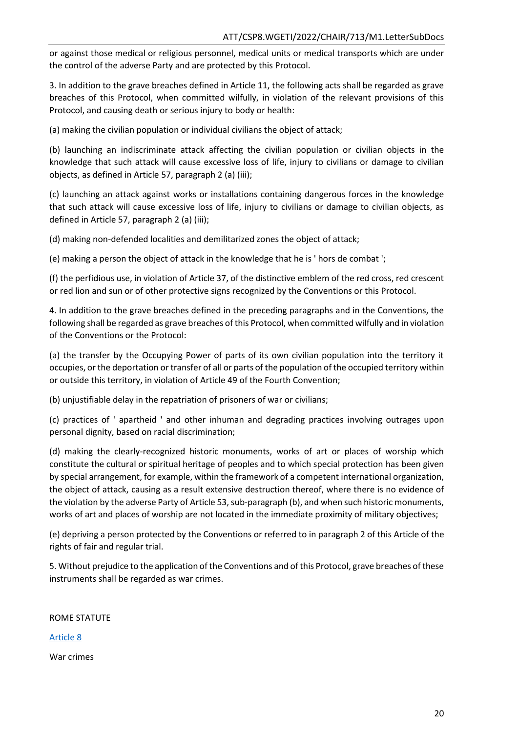or against those medical or religious personnel, medical units or medical transports which are under the control of the adverse Party and are protected by this Protocol.

3. In addition to the grave breaches defined in Article 11, the following acts shall be regarded as grave breaches of this Protocol, when committed wilfully, in violation of the relevant provisions of this Protocol, and causing death or serious injury to body or health:

(a) making the civilian population or individual civilians the object of attack;

(b) launching an indiscriminate attack affecting the civilian population or civilian objects in the knowledge that such attack will cause excessive loss of life, injury to civilians or damage to civilian objects, as defined in Article 57, paragraph 2 (a) (iii);

(c) launching an attack against works or installations containing dangerous forces in the knowledge that such attack will cause excessive loss of life, injury to civilians or damage to civilian objects, as defined in Article 57, paragraph 2 (a) (iii);

(d) making non-defended localities and demilitarized zones the object of attack;

(e) making a person the object of attack in the knowledge that he is ' hors de combat ';

(f) the perfidious use, in violation of Article 37, of the distinctive emblem of the red cross, red crescent or red lion and sun or of other protective signs recognized by the Conventions or this Protocol.

4. In addition to the grave breaches defined in the preceding paragraphs and in the Conventions, the following shall be regarded as grave breaches of this Protocol, when committed wilfully and in violation of the Conventions or the Protocol:

(a) the transfer by the Occupying Power of parts of its own civilian population into the territory it occupies, or the deportation or transfer of all or parts of the population of the occupied territory within or outside this territory, in violation of Article 49 of the Fourth Convention;

(b) unjustifiable delay in the repatriation of prisoners of war or civilians;

(c) practices of ' apartheid ' and other inhuman and degrading practices involving outrages upon personal dignity, based on racial discrimination;

(d) making the clearly-recognized historic monuments, works of art or places of worship which constitute the cultural or spiritual heritage of peoples and to which special protection has been given by special arrangement, for example, within the framework of a competent international organization, the object of attack, causing as a result extensive destruction thereof, where there is no evidence of the violation by the adverse Party of Article 53, sub-paragraph (b), and when such historic monuments, works of art and places of worship are not located in the immediate proximity of military objectives;

(e) depriving a person protected by the Conventions or referred to in paragraph 2 of this Article of the rights of fair and regular trial.

5. Without prejudice to the application of the Conventions and of this Protocol, grave breaches of these instruments shall be regarded as war crimes.

ROME STATUTE

[Article 8](https://www.icc-cpi.int/resource-library/documents/rs-eng.pdf)

War crimes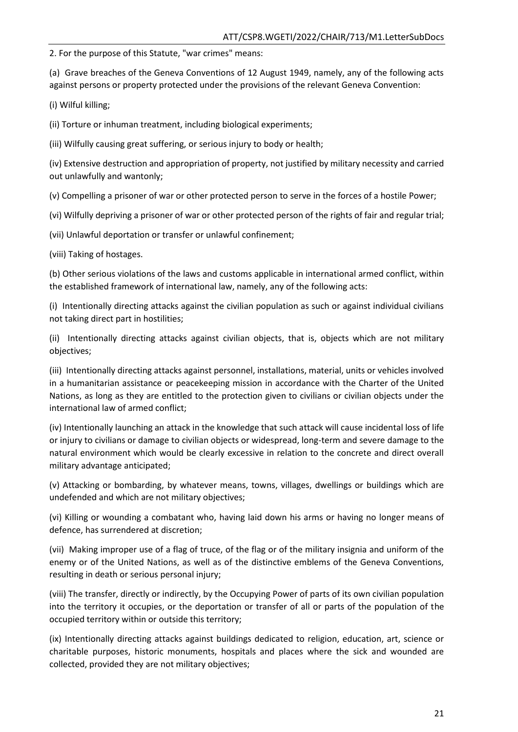2. For the purpose of this Statute, "war crimes" means:

(a) Grave breaches of the Geneva Conventions of 12 August 1949, namely, any of the following acts against persons or property protected under the provisions of the relevant Geneva Convention:

(i) Wilful killing;

(ii) Torture or inhuman treatment, including biological experiments;

(iii) Wilfully causing great suffering, or serious injury to body or health;

(iv) Extensive destruction and appropriation of property, not justified by military necessity and carried out unlawfully and wantonly;

(v) Compelling a prisoner of war or other protected person to serve in the forces of a hostile Power;

(vi) Wilfully depriving a prisoner of war or other protected person of the rights of fair and regular trial;

(vii) Unlawful deportation or transfer or unlawful confinement;

(viii) Taking of hostages.

(b) Other serious violations of the laws and customs applicable in international armed conflict, within the established framework of international law, namely, any of the following acts:

(i) Intentionally directing attacks against the civilian population as such or against individual civilians not taking direct part in hostilities;

(ii) Intentionally directing attacks against civilian objects, that is, objects which are not military objectives;

(iii) Intentionally directing attacks against personnel, installations, material, units or vehicles involved in a humanitarian assistance or peacekeeping mission in accordance with the Charter of the United Nations, as long as they are entitled to the protection given to civilians or civilian objects under the international law of armed conflict;

(iv) Intentionally launching an attack in the knowledge that such attack will cause incidental loss of life or injury to civilians or damage to civilian objects or widespread, long-term and severe damage to the natural environment which would be clearly excessive in relation to the concrete and direct overall military advantage anticipated;

(v) Attacking or bombarding, by whatever means, towns, villages, dwellings or buildings which are undefended and which are not military objectives;

(vi) Killing or wounding a combatant who, having laid down his arms or having no longer means of defence, has surrendered at discretion;

(vii) Making improper use of a flag of truce, of the flag or of the military insignia and uniform of the enemy or of the United Nations, as well as of the distinctive emblems of the Geneva Conventions, resulting in death or serious personal injury;

(viii) The transfer, directly or indirectly, by the Occupying Power of parts of its own civilian population into the territory it occupies, or the deportation or transfer of all or parts of the population of the occupied territory within or outside this territory;

(ix) Intentionally directing attacks against buildings dedicated to religion, education, art, science or charitable purposes, historic monuments, hospitals and places where the sick and wounded are collected, provided they are not military objectives;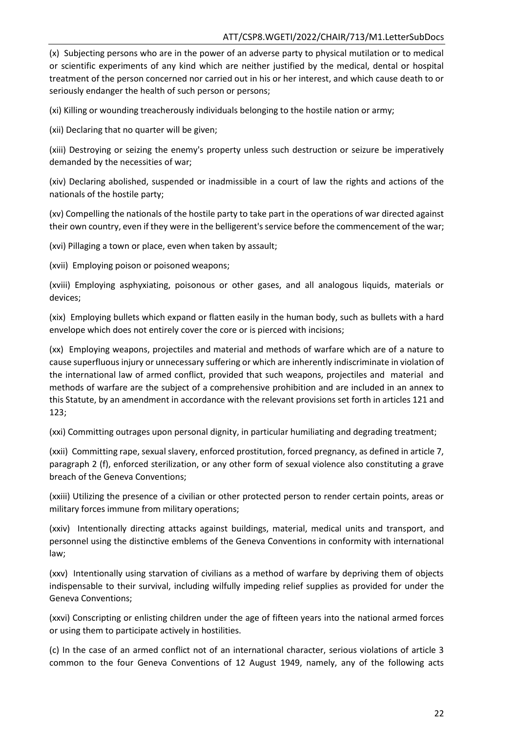(x) Subjecting persons who are in the power of an adverse party to physical mutilation or to medical or scientific experiments of any kind which are neither justified by the medical, dental or hospital treatment of the person concerned nor carried out in his or her interest, and which cause death to or seriously endanger the health of such person or persons;

(xi) Killing or wounding treacherously individuals belonging to the hostile nation or army;

(xii) Declaring that no quarter will be given;

(xiii) Destroying or seizing the enemy's property unless such destruction or seizure be imperatively demanded by the necessities of war;

(xiv) Declaring abolished, suspended or inadmissible in a court of law the rights and actions of the nationals of the hostile party;

(xv) Compelling the nationals of the hostile party to take part in the operations of war directed against their own country, even if they were in the belligerent's service before the commencement of the war;

(xvi) Pillaging a town or place, even when taken by assault;

(xvii) Employing poison or poisoned weapons;

(xviii) Employing asphyxiating, poisonous or other gases, and all analogous liquids, materials or devices;

(xix) Employing bullets which expand or flatten easily in the human body, such as bullets with a hard envelope which does not entirely cover the core or is pierced with incisions;

(xx) Employing weapons, projectiles and material and methods of warfare which are of a nature to cause superfluous injury or unnecessary suffering or which are inherently indiscriminate in violation of the international law of armed conflict, provided that such weapons, projectiles and material and methods of warfare are the subject of a comprehensive prohibition and are included in an annex to this Statute, by an amendment in accordance with the relevant provisions set forth in articles 121 and 123;

(xxi) Committing outrages upon personal dignity, in particular humiliating and degrading treatment;

(xxii) Committing rape, sexual slavery, enforced prostitution, forced pregnancy, as defined in article 7, paragraph 2 (f), enforced sterilization, or any other form of sexual violence also constituting a grave breach of the Geneva Conventions;

(xxiii) Utilizing the presence of a civilian or other protected person to render certain points, areas or military forces immune from military operations;

(xxiv) Intentionally directing attacks against buildings, material, medical units and transport, and personnel using the distinctive emblems of the Geneva Conventions in conformity with international law;

(xxv) Intentionally using starvation of civilians as a method of warfare by depriving them of objects indispensable to their survival, including wilfully impeding relief supplies as provided for under the Geneva Conventions;

(xxvi) Conscripting or enlisting children under the age of fifteen years into the national armed forces or using them to participate actively in hostilities.

(c) In the case of an armed conflict not of an international character, serious violations of article 3 common to the four Geneva Conventions of 12 August 1949, namely, any of the following acts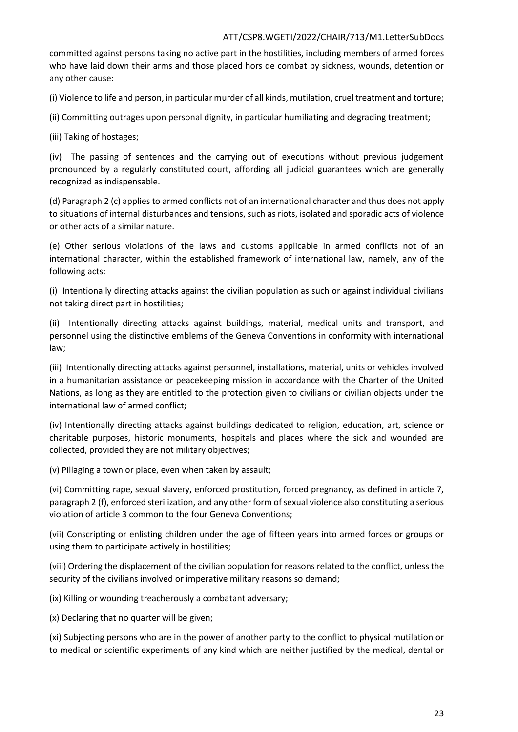committed against persons taking no active part in the hostilities, including members of armed forces who have laid down their arms and those placed hors de combat by sickness, wounds, detention or any other cause:

(i) Violence to life and person, in particular murder of all kinds, mutilation, cruel treatment and torture;

(ii) Committing outrages upon personal dignity, in particular humiliating and degrading treatment;

(iii) Taking of hostages;

(iv) The passing of sentences and the carrying out of executions without previous judgement pronounced by a regularly constituted court, affording all judicial guarantees which are generally recognized as indispensable.

(d) Paragraph 2 (c) applies to armed conflicts not of an international character and thus does not apply to situations of internal disturbances and tensions, such as riots, isolated and sporadic acts of violence or other acts of a similar nature.

(e) Other serious violations of the laws and customs applicable in armed conflicts not of an international character, within the established framework of international law, namely, any of the following acts:

(i) Intentionally directing attacks against the civilian population as such or against individual civilians not taking direct part in hostilities;

(ii) Intentionally directing attacks against buildings, material, medical units and transport, and personnel using the distinctive emblems of the Geneva Conventions in conformity with international law;

(iii) Intentionally directing attacks against personnel, installations, material, units or vehicles involved in a humanitarian assistance or peacekeeping mission in accordance with the Charter of the United Nations, as long as they are entitled to the protection given to civilians or civilian objects under the international law of armed conflict;

(iv) Intentionally directing attacks against buildings dedicated to religion, education, art, science or charitable purposes, historic monuments, hospitals and places where the sick and wounded are collected, provided they are not military objectives;

(v) Pillaging a town or place, even when taken by assault;

(vi) Committing rape, sexual slavery, enforced prostitution, forced pregnancy, as defined in article 7, paragraph 2 (f), enforced sterilization, and any other form of sexual violence also constituting a serious violation of article 3 common to the four Geneva Conventions;

(vii) Conscripting or enlisting children under the age of fifteen years into armed forces or groups or using them to participate actively in hostilities;

(viii) Ordering the displacement of the civilian population for reasons related to the conflict, unless the security of the civilians involved or imperative military reasons so demand;

(ix) Killing or wounding treacherously a combatant adversary;

(x) Declaring that no quarter will be given;

(xi) Subjecting persons who are in the power of another party to the conflict to physical mutilation or to medical or scientific experiments of any kind which are neither justified by the medical, dental or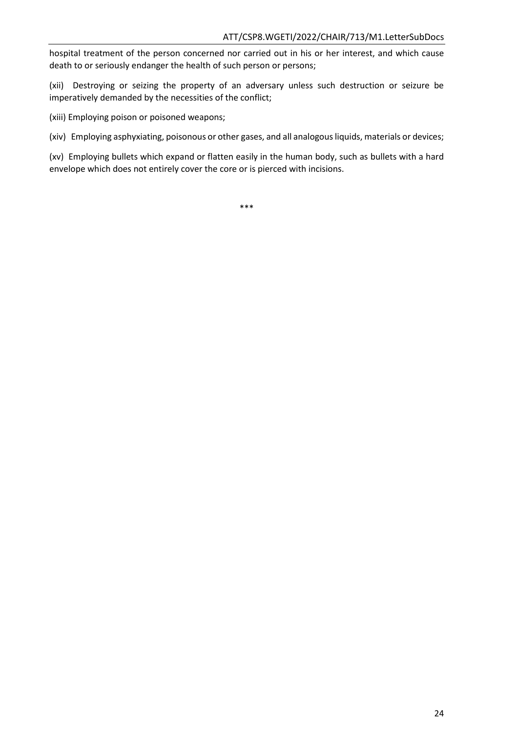hospital treatment of the person concerned nor carried out in his or her interest, and which cause death to or seriously endanger the health of such person or persons;

(xii) Destroying or seizing the property of an adversary unless such destruction or seizure be imperatively demanded by the necessities of the conflict;

(xiii) Employing poison or poisoned weapons;

(xiv) Employing asphyxiating, poisonous or other gases, and all analogous liquids, materials or devices;

(xv) Employing bullets which expand or flatten easily in the human body, such as bullets with a hard envelope which does not entirely cover the core or is pierced with incisions.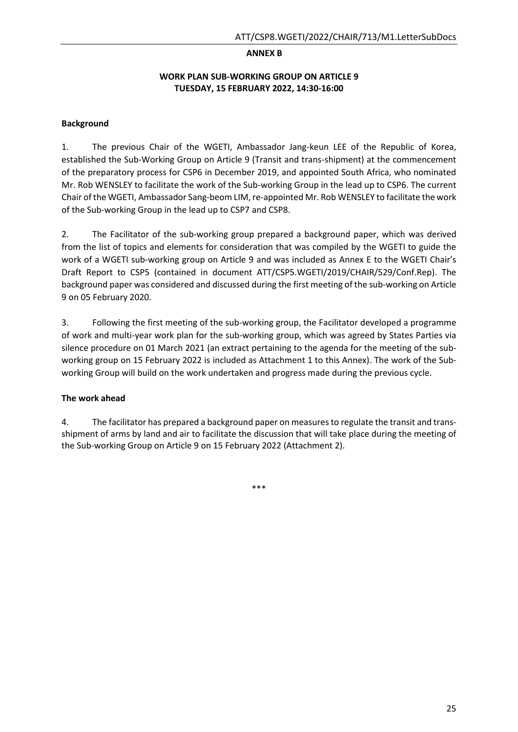#### **ANNEX B**

## **WORK PLAN SUB-WORKING GROUP ON ARTICLE 9 TUESDAY, 15 FEBRUARY 2022, 14:30-16:00**

#### **Background**

1. The previous Chair of the WGETI, Ambassador Jang-keun LEE of the Republic of Korea, established the Sub-Working Group on Article 9 (Transit and trans-shipment) at the commencement of the preparatory process for CSP6 in December 2019, and appointed South Africa, who nominated Mr. Rob WENSLEY to facilitate the work of the Sub-working Group in the lead up to CSP6. The current Chair of the WGETI, Ambassador Sang-beom LIM, re-appointed Mr. Rob WENSLEY to facilitate the work of the Sub-working Group in the lead up to CSP7 and CSP8.

2. The Facilitator of the sub-working group prepared a background paper, which was derived from the list of topics and elements for consideration that was compiled by the WGETI to guide the work of a WGETI sub-working group on Article 9 and was included as Annex E to the WGETI Chair's Draft Report to CSP5 (contained in document ATT/CSP5.WGETI/2019/CHAIR/529/Conf.Rep). The background paper was considered and discussed during the first meeting of the sub-working on Article 9 on 05 February 2020.

3. Following the first meeting of the sub-working group, the Facilitator developed a programme of work and multi-year work plan for the sub-working group, which was agreed by States Parties via silence procedure on 01 March 2021 (an extract pertaining to the agenda for the meeting of the subworking group on 15 February 2022 is included as Attachment 1 to this Annex). The work of the Subworking Group will build on the work undertaken and progress made during the previous cycle.

## **The work ahead**

4. The facilitator has prepared a background paper on measures to regulate the transit and transshipment of arms by land and air to facilitate the discussion that will take place during the meeting of the Sub-working Group on Article 9 on 15 February 2022 (Attachment 2).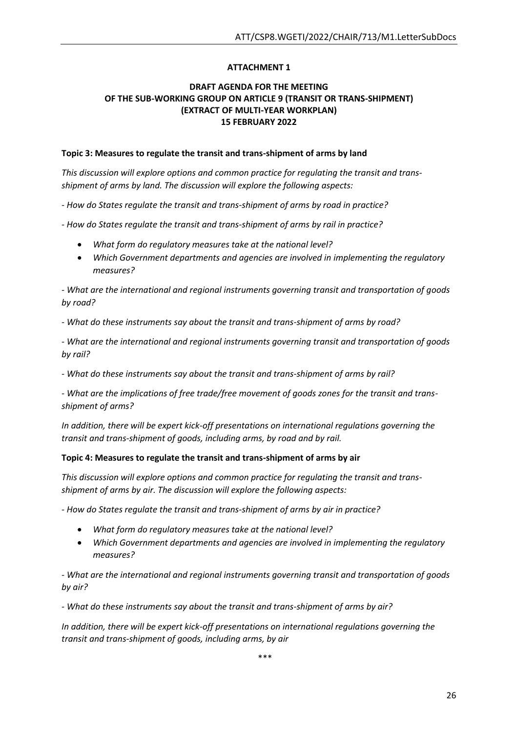## **ATTACHMENT 1**

#### **DRAFT AGENDA FOR THE MEETING OF THE SUB-WORKING GROUP ON ARTICLE 9 (TRANSIT OR TRANS-SHIPMENT) (EXTRACT OF MULTI-YEAR WORKPLAN) 15 FEBRUARY 2022**

#### **Topic 3: Measures to regulate the transit and trans-shipment of arms by land**

*This discussion will explore options and common practice for regulating the transit and transshipment of arms by land. The discussion will explore the following aspects:*

*- How do States regulate the transit and trans-shipment of arms by road in practice?*

*- How do States regulate the transit and trans-shipment of arms by rail in practice?*

- *What form do regulatory measures take at the national level?*
- *Which Government departments and agencies are involved in implementing the regulatory measures?*

*- What are the international and regional instruments governing transit and transportation of goods by road?*

*- What do these instruments say about the transit and trans-shipment of arms by road?*

*- What are the international and regional instruments governing transit and transportation of goods by rail?*

*- What do these instruments say about the transit and trans-shipment of arms by rail?*

*- What are the implications of free trade/free movement of goods zones for the transit and transshipment of arms?*

*In addition, there will be expert kick-off presentations on international regulations governing the transit and trans-shipment of goods, including arms, by road and by rail.*

#### **Topic 4: Measures to regulate the transit and trans-shipment of arms by air**

*This discussion will explore options and common practice for regulating the transit and transshipment of arms by air. The discussion will explore the following aspects:*

*- How do States regulate the transit and trans-shipment of arms by air in practice?*

- *What form do regulatory measures take at the national level?*
- *Which Government departments and agencies are involved in implementing the regulatory measures?*

*- What are the international and regional instruments governing transit and transportation of goods by air?*

*- What do these instruments say about the transit and trans-shipment of arms by air?*

*In addition, there will be expert kick-off presentations on international regulations governing the transit and trans-shipment of goods, including arms, by air*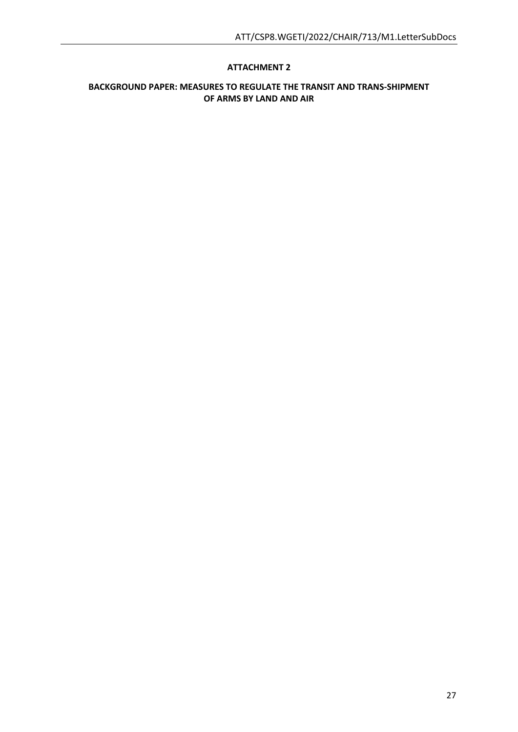# **ATTACHMENT 2**

## **BACKGROUND PAPER: MEASURES TO REGULATE THE TRANSIT AND TRANS-SHIPMENT OF ARMS BY LAND AND AIR**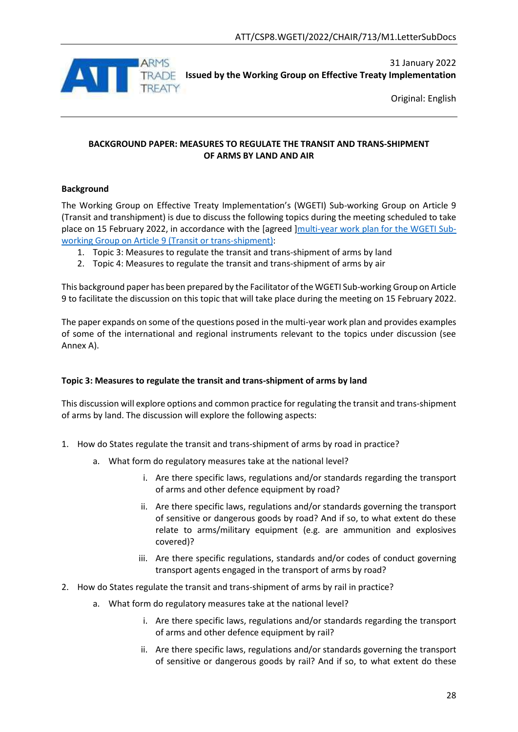

31 January 2022 **Issued by the Working Group on Effective Treaty Implementation**

Original: English

## **BACKGROUND PAPER: MEASURES TO REGULATE THE TRANSIT AND TRANS-SHIPMENT OF ARMS BY LAND AND AIR**

## **Background**

The Working Group on Effective Treaty Implementation's (WGETI) Sub-working Group on Article 9 (Transit and transhipment) is due to discuss the following topics during the meeting scheduled to take place on 15 February 2022, in accordance with the [agreed ]multi-year work [plan for the WGETI Sub](https://www.thearmstradetreaty.org/hyper-images/file/Annex%20B%20-%20Draft%20WGETI%20Multi-year%20Workplan%20for%20Article%209%20(19%20Feb%202021_cl)/Annex%20B%20-%20Draft%20WGETI%20Multi-year%20Workplan%20for%20Article%209%20(19%20Feb%202021_cl).pdf)[working Group on Article 9](https://www.thearmstradetreaty.org/hyper-images/file/Annex%20B%20-%20Draft%20WGETI%20Multi-year%20Workplan%20for%20Article%209%20(19%20Feb%202021_cl)/Annex%20B%20-%20Draft%20WGETI%20Multi-year%20Workplan%20for%20Article%209%20(19%20Feb%202021_cl).pdf) (Transit or trans-shipment):

- 1. Topic 3: Measures to regulate the transit and trans-shipment of arms by land
- 2. Topic 4: Measures to regulate the transit and trans-shipment of arms by air

This background paper has been prepared by the Facilitator of the WGETI Sub-working Group on Article 9 to facilitate the discussion on this topic that will take place during the meeting on 15 February 2022.

The paper expands on some of the questions posed in the multi-year work plan and provides examples of some of the international and regional instruments relevant to the topics under discussion (see Annex A).

## **Topic 3: Measures to regulate the transit and trans-shipment of arms by land**

This discussion will explore options and common practice for regulating the transit and trans-shipment of arms by land. The discussion will explore the following aspects:

- 1. How do States regulate the transit and trans-shipment of arms by road in practice?
	- a. What form do regulatory measures take at the national level?
		- i. Are there specific laws, regulations and/or standards regarding the transport of arms and other defence equipment by road?
		- ii. Are there specific laws, regulations and/or standards governing the transport of sensitive or dangerous goods by road? And if so, to what extent do these relate to arms/military equipment (e.g. are ammunition and explosives covered)?
		- iii. Are there specific regulations, standards and/or codes of conduct governing transport agents engaged in the transport of arms by road?
- 2. How do States regulate the transit and trans-shipment of arms by rail in practice?
	- a. What form do regulatory measures take at the national level?
		- i. Are there specific laws, regulations and/or standards regarding the transport of arms and other defence equipment by rail?
		- ii. Are there specific laws, regulations and/or standards governing the transport of sensitive or dangerous goods by rail? And if so, to what extent do these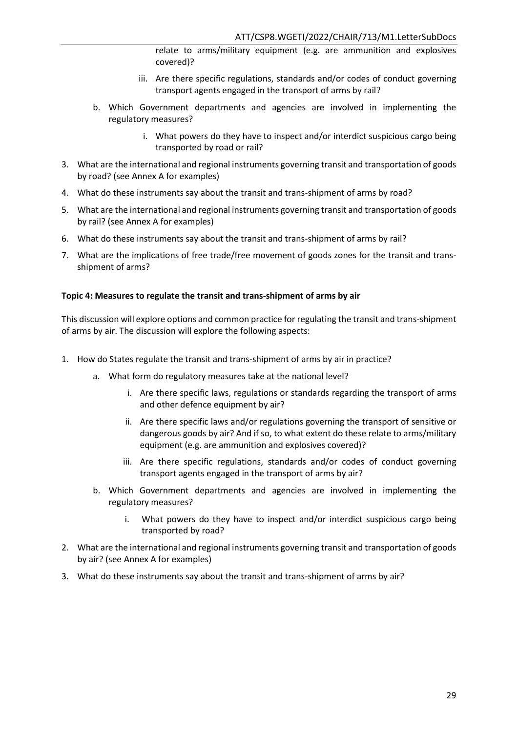relate to arms/military equipment (e.g. are ammunition and explosives covered)?

- iii. Are there specific regulations, standards and/or codes of conduct governing transport agents engaged in the transport of arms by rail?
- b. Which Government departments and agencies are involved in implementing the regulatory measures?
	- i. What powers do they have to inspect and/or interdict suspicious cargo being transported by road or rail?
- 3. What are the international and regional instruments governing transit and transportation of goods by road? (see Annex A for examples)
- 4. What do these instruments say about the transit and trans-shipment of arms by road?
- 5. What are the international and regional instruments governing transit and transportation of goods by rail? (see Annex A for examples)
- 6. What do these instruments say about the transit and trans-shipment of arms by rail?
- 7. What are the implications of free trade/free movement of goods zones for the transit and transshipment of arms?

#### **Topic 4: Measures to regulate the transit and trans-shipment of arms by air**

This discussion will explore options and common practice for regulating the transit and trans-shipment of arms by air. The discussion will explore the following aspects:

- 1. How do States regulate the transit and trans-shipment of arms by air in practice?
	- a. What form do regulatory measures take at the national level?
		- i. Are there specific laws, regulations or standards regarding the transport of arms and other defence equipment by air?
		- ii. Are there specific laws and/or regulations governing the transport of sensitive or dangerous goods by air? And if so, to what extent do these relate to arms/military equipment (e.g. are ammunition and explosives covered)?
		- iii. Are there specific regulations, standards and/or codes of conduct governing transport agents engaged in the transport of arms by air?
	- b. Which Government departments and agencies are involved in implementing the regulatory measures?
		- i. What powers do they have to inspect and/or interdict suspicious cargo being transported by road?
- 2. What are the international and regional instruments governing transit and transportation of goods by air? (see Annex A for examples)
- 3. What do these instruments say about the transit and trans-shipment of arms by air?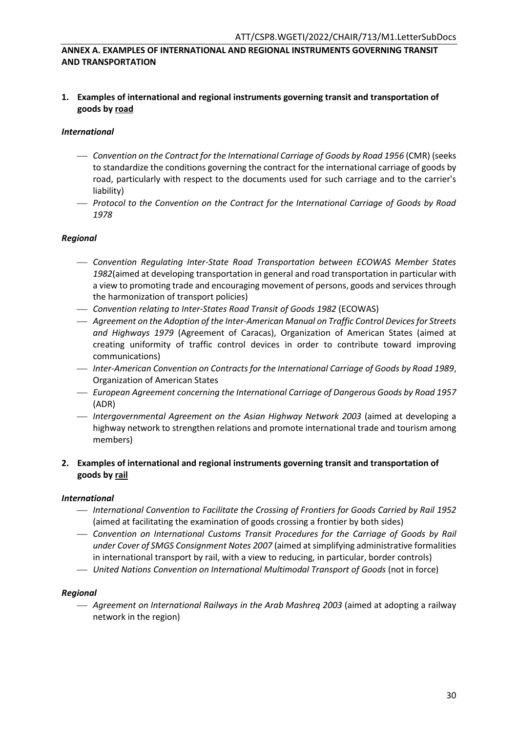## **ANNEX A. EXAMPLES OF INTERNATIONAL AND REGIONAL INSTRUMENTS GOVERNING TRANSIT AND TRANSPORTATION**

**1. Examples of international and regional instruments governing transit and transportation of goods by road**

## *International*

- *Convention on the Contract for the International Carriage of Goods by Road 1956* (CMR) (seeks to standardize the conditions governing the contract for the international carriage of goods by road, particularly with respect to the documents used for such carriage and to the carrier's liability)
- *Protocol to the Convention on the Contract for the International Carriage of Goods by Road 1978*

## *Regional*

- *Convention Regulating Inter-State Road Transportation between ECOWAS Member States 1982*(aimed at developing transportation in general and road transportation in particular with a view to promoting trade and encouraging movement of persons, goods and services through the harmonization of transport policies)
- *Convention relating to Inter-States Road Transit of Goods 1982* (ECOWAS)
- *Agreement on the Adoption of the Inter-American Manual on Traffic Control Devices for Streets and Highways 1979* (Agreement of Caracas), Organization of American States (aimed at creating uniformity of traffic control devices in order to contribute toward improving communications)
- *Inter-American Convention on Contracts for the International Carriage of Goods by Road 1989*, Organization of American States
- *European Agreement concerning the International Carriage of Dangerous Goods by Road 1957*  (ADR)
- *Intergovernmental Agreement on the Asian Highway Network 2003* (aimed at developing a highway network to strengthen relations and promote international trade and tourism among members)

## **2. Examples of international and regional instruments governing transit and transportation of goods by rail**

## *International*

- *International Convention to Facilitate the Crossing of Frontiers for Goods Carried by Rail 1952*  (aimed at facilitating the examination of goods crossing a frontier by both sides)
- *Convention on International Customs Transit Procedures for the Carriage of Goods by Rail under Cover of SMGS Consignment Notes 2007* (aimed at simplifying administrative formalities in international transport by rail, with a view to reducing, in particular, border controls)
- *United Nations Convention on International Multimodal Transport of Goods* (not in force)

## *Regional*

 *Agreement on International Railways in the Arab Mashreq 2003* (aimed at adopting a railway network in the region)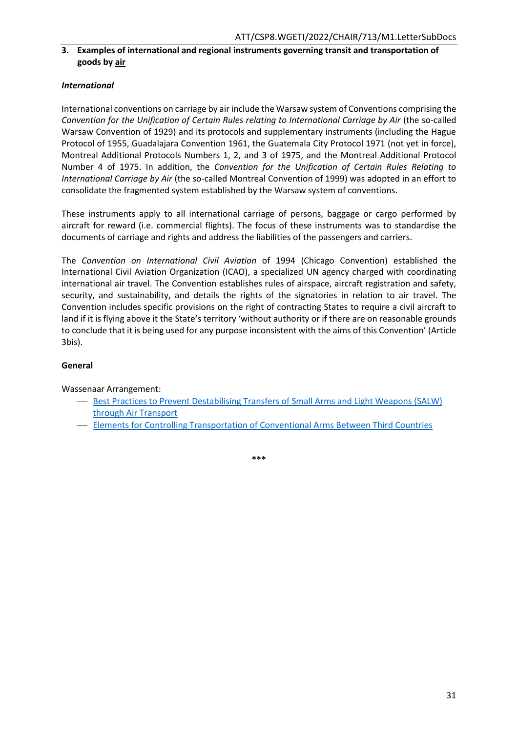## **3. Examples of international and regional instruments governing transit and transportation of goods by air**

## *International*

International conventions on carriage by air include the Warsaw system of Conventions comprising the *Convention for the Unification of Certain Rules relating to International Carriage by Air* (the so-called Warsaw Convention of 1929) and its protocols and supplementary instruments (including the Hague Protocol of 1955, Guadalajara Convention 1961, the Guatemala City Protocol 1971 (not yet in force), Montreal Additional Protocols Numbers 1, 2, and 3 of 1975, and the Montreal Additional Protocol Number 4 of 1975. In addition, the *Convention for the Unification of Certain Rules Relating to International Carriage by Air* (the so-called Montreal Convention of 1999) was adopted in an effort to consolidate the fragmented system established by the Warsaw system of conventions.

These instruments apply to all international carriage of persons, baggage or cargo performed by aircraft for reward (i.e. commercial flights). The focus of these instruments was to standardise the documents of carriage and rights and address the liabilities of the passengers and carriers.

The *Convention on International Civil Aviation* of 1994 (Chicago Convention) established the International Civil Aviation Organization (ICAO), a specialized UN agency charged with coordinating international air travel. The Convention establishes rules of airspace, aircraft registration and safety, security, and sustainability, and details the rights of the signatories in relation to air travel. The Convention includes specific provisions on the right of contracting States to require a civil aircraft to land if it is flying above it the State's territory 'without authority or if there are on reasonable grounds to conclude that it is being used for any purpose inconsistent with the aims of this Convention' (Article 3bis).

#### **General**

Wassenaar Arrangement:

- **Best Practices to Prevent Destabilising Transfers of Small Arms and Light Weapons (SALW)** [through Air Transport](https://www.wassenaar.org/app/uploads/2019/consolidated/Best_Practices_to_Prevent_Destabilising_Transfers_of.pdf)
- [Elements for Controlling Transportation of Conventional Arms Between Third Countries](https://www.wassenaar.org/app/uploads/2019/consolidated/4-Elements-for-Controlling-Transportation-of-Conventional-Arms.pdf)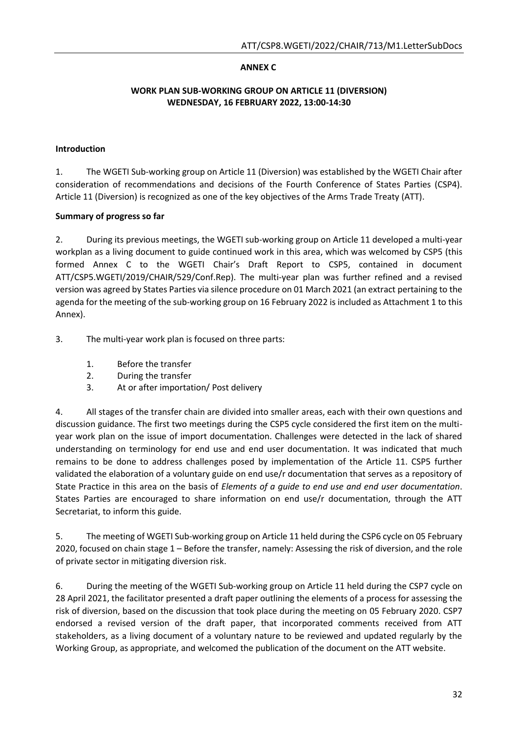## **ANNEX C**

## **WORK PLAN SUB-WORKING GROUP ON ARTICLE 11 (DIVERSION) WEDNESDAY, 16 FEBRUARY 2022, 13:00-14:30**

#### **Introduction**

1. The WGETI Sub-working group on Article 11 (Diversion) was established by the WGETI Chair after consideration of recommendations and decisions of the Fourth Conference of States Parties (CSP4). Article 11 (Diversion) is recognized as one of the key objectives of the Arms Trade Treaty (ATT).

#### **Summary of progress so far**

2. During its previous meetings, the WGETI sub-working group on Article 11 developed a multi-year workplan as a living document to guide continued work in this area, which was welcomed by CSP5 (this formed Annex C to the WGETI Chair's Draft Report to CSP5, contained in document ATT/CSP5.WGETI/2019/CHAIR/529/Conf.Rep). The multi-year plan was further refined and a revised version was agreed by States Parties via silence procedure on 01 March 2021 (an extract pertaining to the agenda for the meeting of the sub-working group on 16 February 2022 is included as Attachment 1 to this Annex).

- 3. The multi-year work plan is focused on three parts:
	- 1. Before the transfer
	- 2. During the transfer
	- 3. At or after importation/ Post delivery

4. All stages of the transfer chain are divided into smaller areas, each with their own questions and discussion guidance. The first two meetings during the CSP5 cycle considered the first item on the multiyear work plan on the issue of import documentation. Challenges were detected in the lack of shared understanding on terminology for end use and end user documentation. It was indicated that much remains to be done to address challenges posed by implementation of the Article 11. CSP5 further validated the elaboration of a voluntary guide on end use/r documentation that serves as a repository of State Practice in this area on the basis of *Elements of a guide to end use and end user documentation*. States Parties are encouraged to share information on end use/r documentation, through the ATT Secretariat, to inform this guide.

5. The meeting of WGETI Sub-working group on Article 11 held during the CSP6 cycle on 05 February 2020, focused on chain stage 1 – Before the transfer, namely: Assessing the risk of diversion, and the role of private sector in mitigating diversion risk.

6. During the meeting of the WGETI Sub-working group on Article 11 held during the CSP7 cycle on 28 April 2021, the facilitator presented a draft paper outlining the elements of a process for assessing the risk of diversion, based on the discussion that took place during the meeting on 05 February 2020. CSP7 endorsed a revised version of the draft paper, that incorporated comments received from ATT stakeholders, as a living document of a voluntary nature to be reviewed and updated regularly by the Working Group, as appropriate, and welcomed the publication of the document on the ATT website.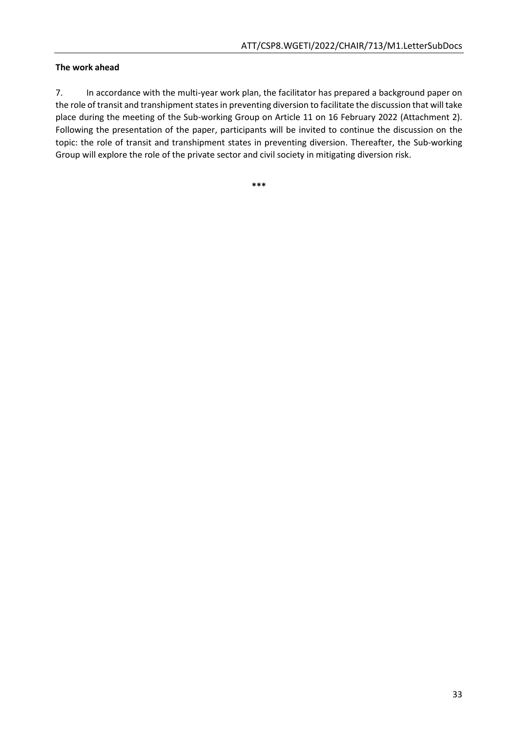#### **The work ahead**

7. In accordance with the multi-year work plan, the facilitator has prepared a background paper on the role of transit and transhipment states in preventing diversion to facilitate the discussion that will take place during the meeting of the Sub-working Group on Article 11 on 16 February 2022 (Attachment 2). Following the presentation of the paper, participants will be invited to continue the discussion on the topic: the role of transit and transhipment states in preventing diversion. Thereafter, the Sub-working Group will explore the role of the private sector and civil society in mitigating diversion risk.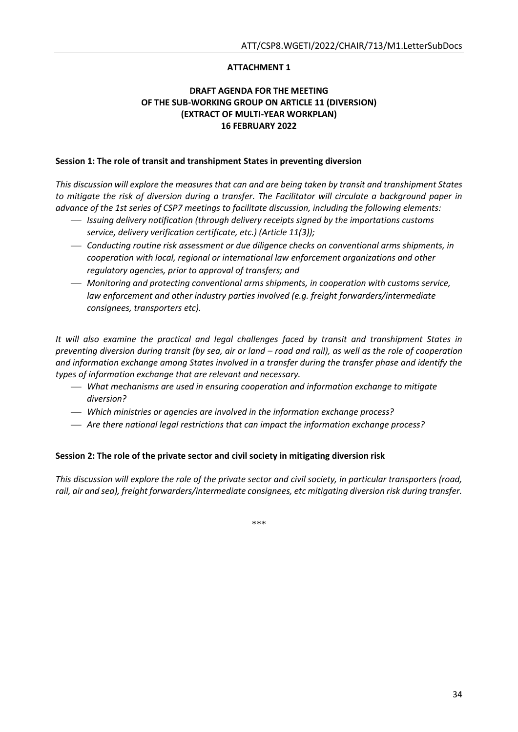## **ATTACHMENT 1**

## **DRAFT AGENDA FOR THE MEETING OF THE SUB-WORKING GROUP ON ARTICLE 11 (DIVERSION) (EXTRACT OF MULTI-YEAR WORKPLAN) 16 FEBRUARY 2022**

#### **Session 1: The role of transit and transhipment States in preventing diversion**

*This discussion will explore the measures that can and are being taken by transit and transhipment States to mitigate the risk of diversion during a transfer. The Facilitator will circulate a background paper in advance of the 1st series of CSP7 meetings to facilitate discussion, including the following elements:*

- *Issuing delivery notification (through delivery receipts signed by the importations customs service, delivery verification certificate, etc.) (Article 11(3));*
- *Conducting routine risk assessment or due diligence checks on conventional arms shipments, in cooperation with local, regional or international law enforcement organizations and other regulatory agencies, prior to approval of transfers; and*
- *Monitoring and protecting conventional arms shipments, in cooperation with customs service, law enforcement and other industry parties involved (e.g. freight forwarders/intermediate consignees, transporters etc).*

*It will also examine the practical and legal challenges faced by transit and transhipment States in preventing diversion during transit (by sea, air or land – road and rail), as well as the role of cooperation and information exchange among States involved in a transfer during the transfer phase and identify the types of information exchange that are relevant and necessary.*

- *What mechanisms are used in ensuring cooperation and information exchange to mitigate diversion?*
- *Which ministries or agencies are involved in the information exchange process?*
- *Are there national legal restrictions that can impact the information exchange process?*

## **Session 2: The role of the private sector and civil society in mitigating diversion risk**

*This discussion will explore the role of the private sector and civil society, in particular transporters (road, rail, air and sea), freight forwarders/intermediate consignees, etc mitigating diversion risk during transfer.*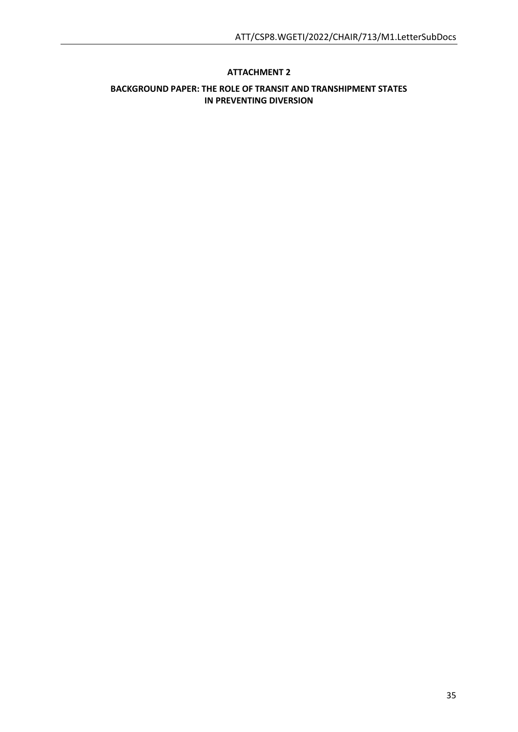# **ATTACHMENT 2**

## **BACKGROUND PAPER: THE ROLE OF TRANSIT AND TRANSHIPMENT STATES IN PREVENTING DIVERSION**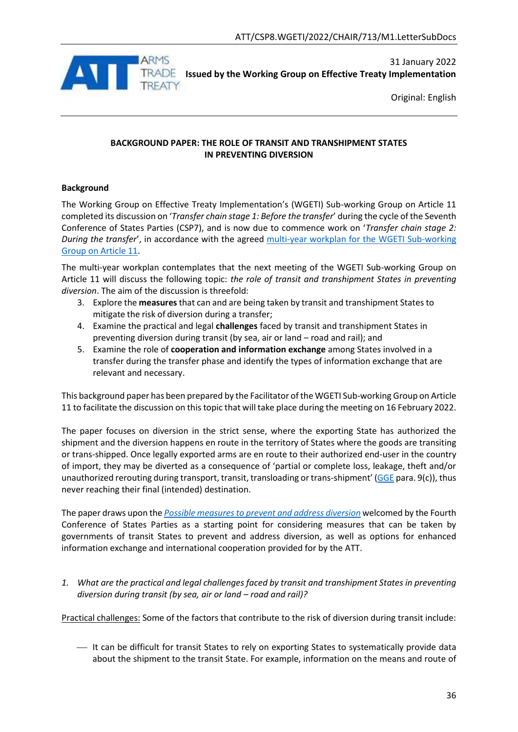

31 January 2022 **Issued by the Working Group on Effective Treaty Implementation**

Original: English

## **BACKGROUND PAPER: THE ROLE OF TRANSIT AND TRANSHIPMENT STATES IN PREVENTING DIVERSION**

## **Background**

The Working Group on Effective Treaty Implementation's (WGETI) Sub-working Group on Article 11 completed its discussion on '*Transfer chain stage 1: Before the transfer*' during the cycle of the Seventh Conference of States Parties (CSP7), and is now due to commence work on '*Transfer chain stage 2: During the transfer*', in accordance with the agreed [multi-year workplan for the WGETI Sub-working](https://www.thearmstradetreaty.org/hyper-images/file/Annex%20C%20-%20Draft%20WGETI%20Multi-year%20Workplan%20for%20Article%2011%20(19%20Feb%202021_cl)/Annex%20C%20-%20Draft%20WGETI%20Multi-year%20Workplan%20for%20Article%2011%20(19%20Feb%202021_cl).pdf)  [Group on Article 11.](https://www.thearmstradetreaty.org/hyper-images/file/Annex%20C%20-%20Draft%20WGETI%20Multi-year%20Workplan%20for%20Article%2011%20(19%20Feb%202021_cl)/Annex%20C%20-%20Draft%20WGETI%20Multi-year%20Workplan%20for%20Article%2011%20(19%20Feb%202021_cl).pdf)

The multi-year workplan contemplates that the next meeting of the WGETI Sub-working Group on Article 11 will discuss the following topic: *the role of transit and transhipment States in preventing diversion*. The aim of the discussion is threefold:

- 3. Explore the **measures**that can and are being taken by transit and transhipment Statesto mitigate the risk of diversion during a transfer;
- 4. Examine the practical and legal **challenges** faced by transit and transhipment States in preventing diversion during transit (by sea, air or land – road and rail); and
- 5. Examine the role of **cooperation and information exchange** among States involved in a transfer during the transfer phase and identify the types of information exchange that are relevant and necessary.

This background paper has been prepared by the Facilitator of the WGETI Sub-working Group on Article 11 to facilitate the discussion on this topic that will take place during the meeting on 16 February 2022.

The paper focuses on diversion in the strict sense, where the exporting State has authorized the shipment and the diversion happens en route in the territory of States where the goods are transiting or trans-shipped. Once legally exported arms are en route to their authorized end-user in the country of import, they may be diverted as a consequence of 'partial or complete loss, leakage, theft and/or unauthorized rerouting during transport, transit, transloading or trans-shipment' ([GGE](https://undocs.org/GGE/PACAS/2020/3) para. 9(c)), thus never reaching their final (intended) destination.

The paper draws upon the *[Possible measures to prevent and address diversion](https://www.thearmstradetreaty.org/hyper-images/file/Article%2011%20-%20Possible%20measures%20to%20prevent%20and%20address%20diversion/Article%2011%20-%20Possible%20measures%20to%20prevent%20and%20address%20diversion.pdf)* welcomed by the Fourth Conference of States Parties as a starting point for considering measures that can be taken by governments of transit States to prevent and address diversion, as well as options for enhanced information exchange and international cooperation provided for by the ATT.

*1. What are the practical and legal challenges faced by transit and transhipment States in preventing diversion during transit (by sea, air or land – road and rail)?*

Practical challenges: Some of the factors that contribute to the risk of diversion during transit include:

 It can be difficult for transit States to rely on exporting States to systematically provide data about the shipment to the transit State. For example, information on the means and route of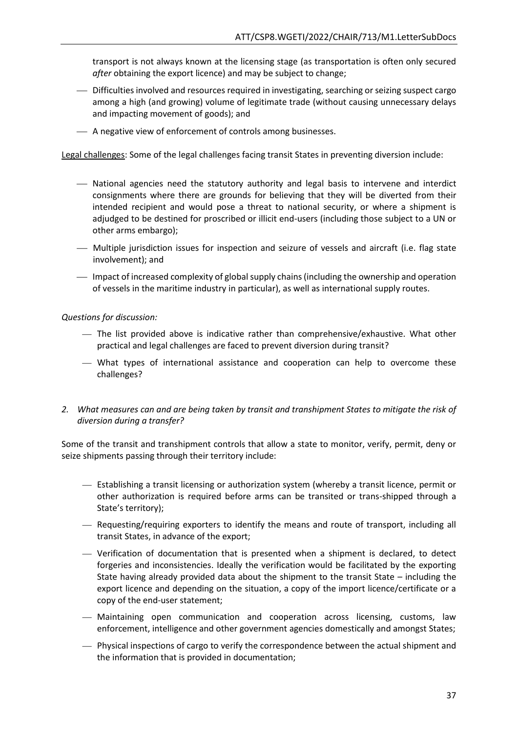transport is not always known at the licensing stage (as transportation is often only secured *after* obtaining the export licence) and may be subject to change;

- Difficulties involved and resources required in investigating, searching or seizing suspect cargo among a high (and growing) volume of legitimate trade (without causing unnecessary delays and impacting movement of goods); and
- A negative view of enforcement of controls among businesses.

Legal challenges: Some of the legal challenges facing transit States in preventing diversion include:

- National agencies need the statutory authority and legal basis to intervene and interdict consignments where there are grounds for believing that they will be diverted from their intended recipient and would pose a threat to national security, or where a shipment is adjudged to be destined for proscribed or illicit end-users (including those subject to a UN or other arms embargo);
- Multiple jurisdiction issues for inspection and seizure of vessels and aircraft (i.e. flag state involvement); and
- Impact of increased complexity of global supply chains (including the ownership and operation of vessels in the maritime industry in particular), as well as international supply routes.

*Questions for discussion:*

- The list provided above is indicative rather than comprehensive/exhaustive. What other practical and legal challenges are faced to prevent diversion during transit?
- What types of international assistance and cooperation can help to overcome these challenges?
- *2. What measures can and are being taken by transit and transhipment States to mitigate the risk of diversion during a transfer?*

Some of the transit and transhipment controls that allow a state to monitor, verify, permit, deny or seize shipments passing through their territory include:

- Establishing a transit licensing or authorization system (whereby a transit licence, permit or other authorization is required before arms can be transited or trans-shipped through a State's territory);
- Requesting/requiring exporters to identify the means and route of transport, including all transit States, in advance of the export;
- Verification of documentation that is presented when a shipment is declared, to detect forgeries and inconsistencies. Ideally the verification would be facilitated by the exporting State having already provided data about the shipment to the transit State – including the export licence and depending on the situation, a copy of the import licence/certificate or a copy of the end-user statement;
- Maintaining open communication and cooperation across licensing, customs, law enforcement, intelligence and other government agencies domestically and amongst States;
- Physical inspections of cargo to verify the correspondence between the actual shipment and the information that is provided in documentation;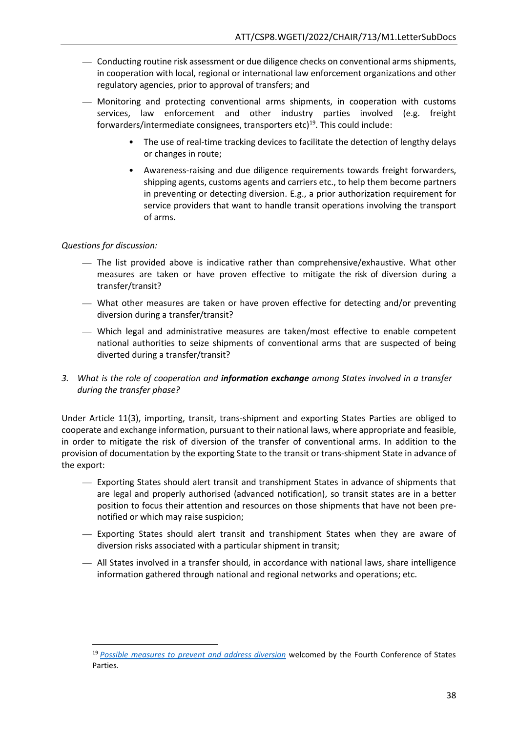- Conducting routine risk assessment or due diligence checks on conventional arms shipments, in cooperation with local, regional or international law enforcement organizations and other regulatory agencies, prior to approval of transfers; and
- Monitoring and protecting conventional arms shipments, in cooperation with customs services, law enforcement and other industry parties involved (e.g. freight forwarders/intermediate consignees, transporters etc)<sup>19</sup>. This could include:
	- The use of real-time tracking devices to facilitate the detection of lengthy delays or changes in route;
	- Awareness-raising and due diligence requirements towards freight forwarders, shipping agents, customs agents and carriers etc., to help them become partners in preventing or detecting diversion. E.g., a prior authorization requirement for service providers that want to handle transit operations involving the transport of arms.

## *Questions for discussion:*

 $\overline{\phantom{a}}$ 

- The list provided above is indicative rather than comprehensive/exhaustive. What other measures are taken or have proven effective to mitigate the risk of diversion during a transfer/transit?
- What other measures are taken or have proven effective for detecting and/or preventing diversion during a transfer/transit?
- Which legal and administrative measures are taken/most effective to enable competent national authorities to seize shipments of conventional arms that are suspected of being diverted during a transfer/transit?
- *3. What is the role of cooperation and information exchange among States involved in a transfer during the transfer phase?*

Under Article 11(3), importing, transit, trans-shipment and exporting States Parties are obliged to cooperate and exchange information, pursuant to their national laws, where appropriate and feasible, in order to mitigate the risk of diversion of the transfer of conventional arms. In addition to the provision of documentation by the exporting State to the transit or trans-shipment State in advance of the export:

- Exporting States should alert transit and transhipment States in advance of shipments that are legal and properly authorised (advanced notification), so transit states are in a better position to focus their attention and resources on those shipments that have not been prenotified or which may raise suspicion;
- Exporting States should alert transit and transhipment States when they are aware of diversion risks associated with a particular shipment in transit;
- All States involved in a transfer should, in accordance with national laws, share intelligence information gathered through national and regional networks and operations; etc.

<sup>19</sup> *[Possible measures to prevent and address diversion](https://www.thearmstradetreaty.org/hyper-images/file/Article%2011%20-%20Possible%20measures%20to%20prevent%20and%20address%20diversion/Article%2011%20-%20Possible%20measures%20to%20prevent%20and%20address%20diversion.pdf)* welcomed by the Fourth Conference of States Parties.